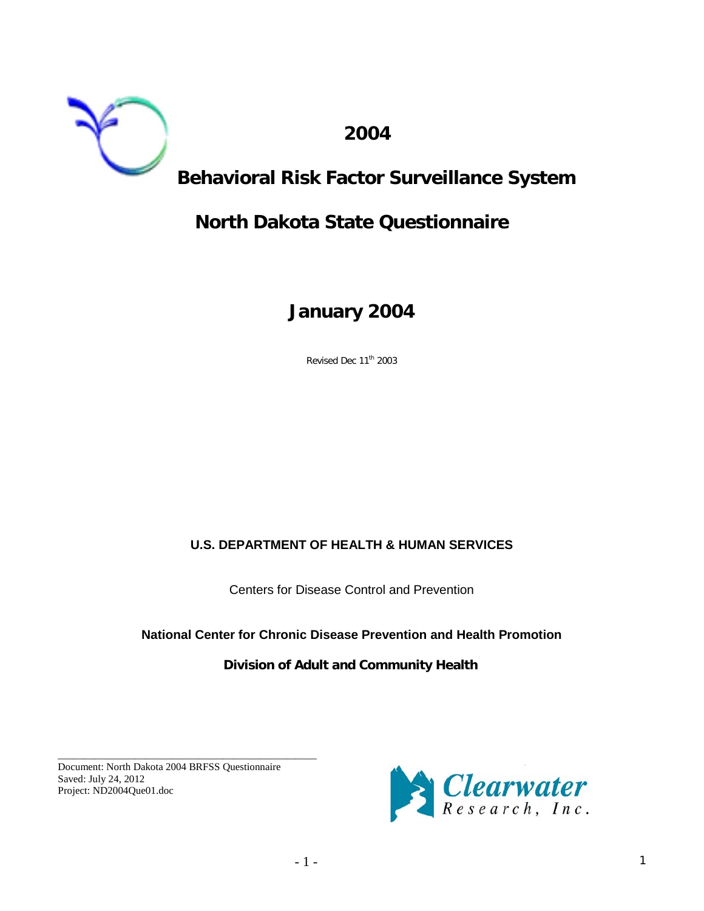

 **2004** 

# **Behavioral Risk Factor Surveillance System**

# **North Dakota State Questionnaire**

# **January 2004**

Revised Dec 11<sup>th</sup> 2003

# **U.S. DEPARTMENT OF HEALTH & HUMAN SERVICES**

Centers for Disease Control and Prevention

# **National Center for Chronic Disease Prevention and Health Promotion**

# **Division of Adult and Community Health**

Document: North Dakota 2004 BRFSS Questionnaire Saved: July 24, 2012 Project: ND2004Que01.doc

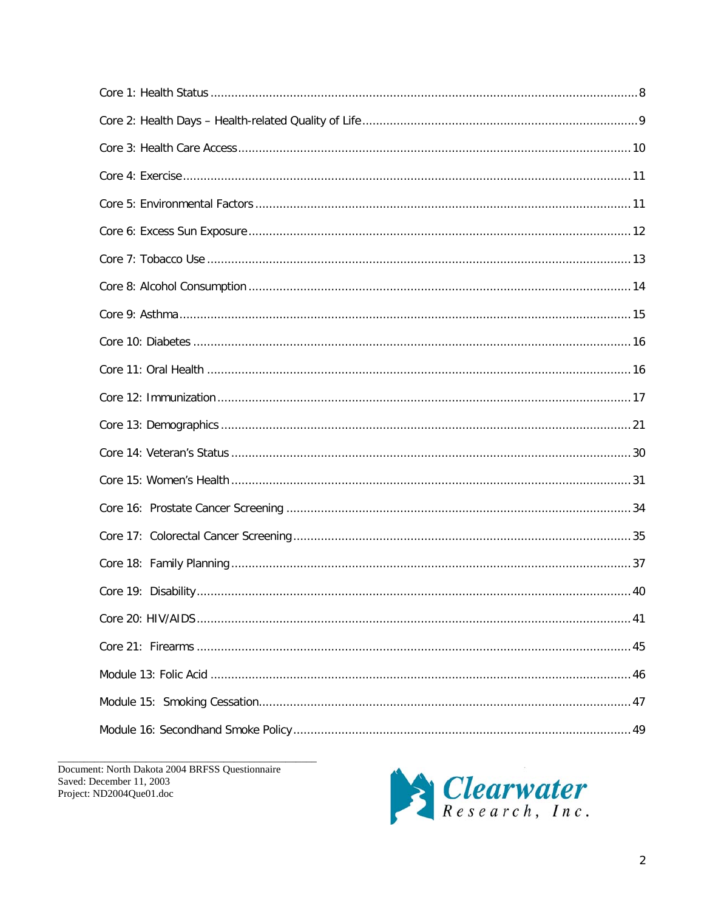Document: North Dakota 2004 BRFSS Questionnaire Saved: December 11, 2003 Project: ND2004Que01.doc

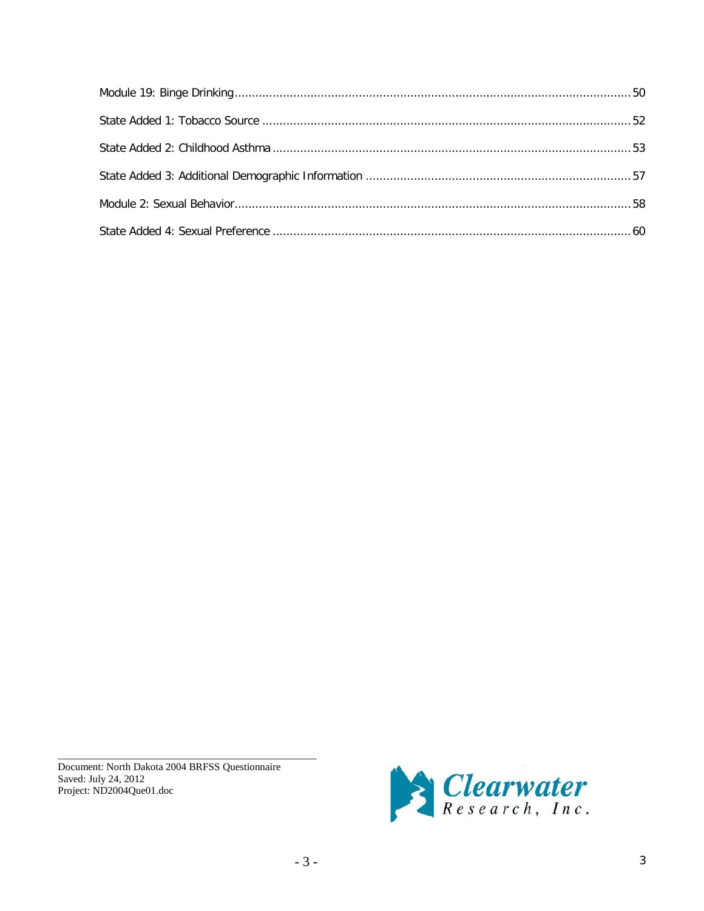Document: North Dakota 2004 BRFSS Questionnaire Saved: July 24, 2012 Project: ND2004Que01.doc

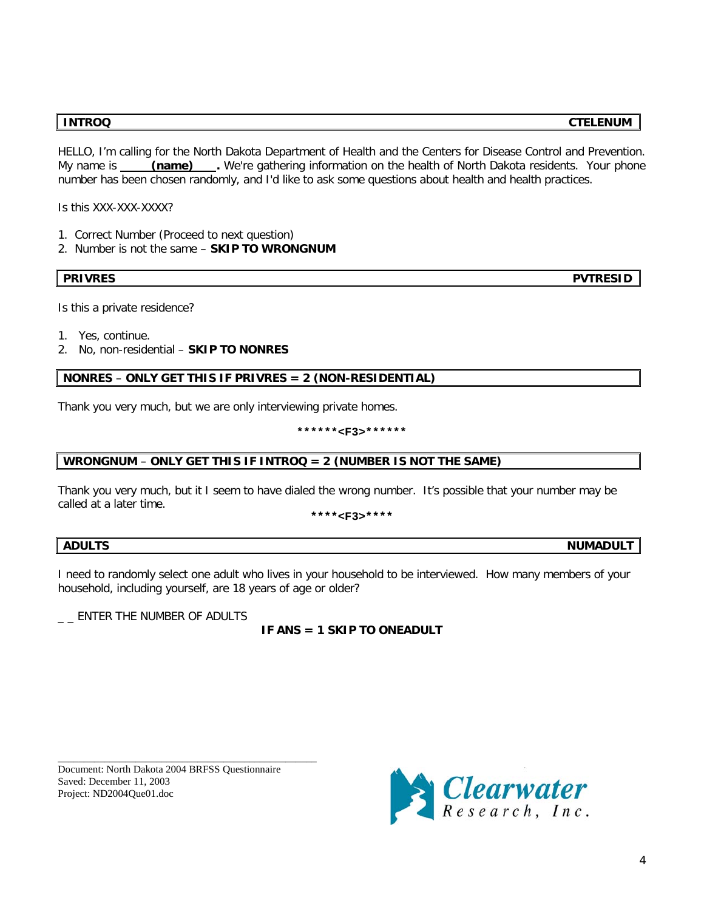**INTROQ CTELENUM**

HELLO, I'm calling for the North Dakota Department of Health and the Centers for Disease Control and Prevention. My name is **(name)** . We're gathering information on the health of North Dakota residents. Your phone number has been chosen randomly, and I'd like to ask some questions about health and health practices.

Is this XXX-XXX-XXXX?

- 1. Correct Number (Proceed to next question)
- 2. Number is not the same **SKIP TO WRONGNUM**

**PRIVRES PVTRESID**

Is this a private residence?

- 1. Yes, continue.
- 2. No, non-residential **SKIP TO NONRES**

## **NONRES** – **ONLY GET THIS IF PRIVRES = 2 (NON-RESIDENTIAL)**

Thank you very much, but we are only interviewing private homes.

**\*\*\*\*\*\*<F3>\*\*\*\*\*\***

#### **WRONGNUM** – **ONLY GET THIS IF INTROQ = 2 (NUMBER IS NOT THE SAME)**

Thank you very much, but it I seem to have dialed the wrong number. It's possible that your number may be called at a later time.

**\*\*\*\*<F3>\*\*\*\***

### ADULTS NUMADULT

I need to randomly select one adult who lives in your household to be interviewed. How many members of your household, including yourself, are 18 years of age or older?

 $\_$  ENTER THE NUMBER OF ADULTS

# **IF ANS = 1 SKIP TO ONEADULT**

Document: North Dakota 2004 BRFSS Questionnaire Saved: December 11, 2003 Project: ND2004Que01.doc

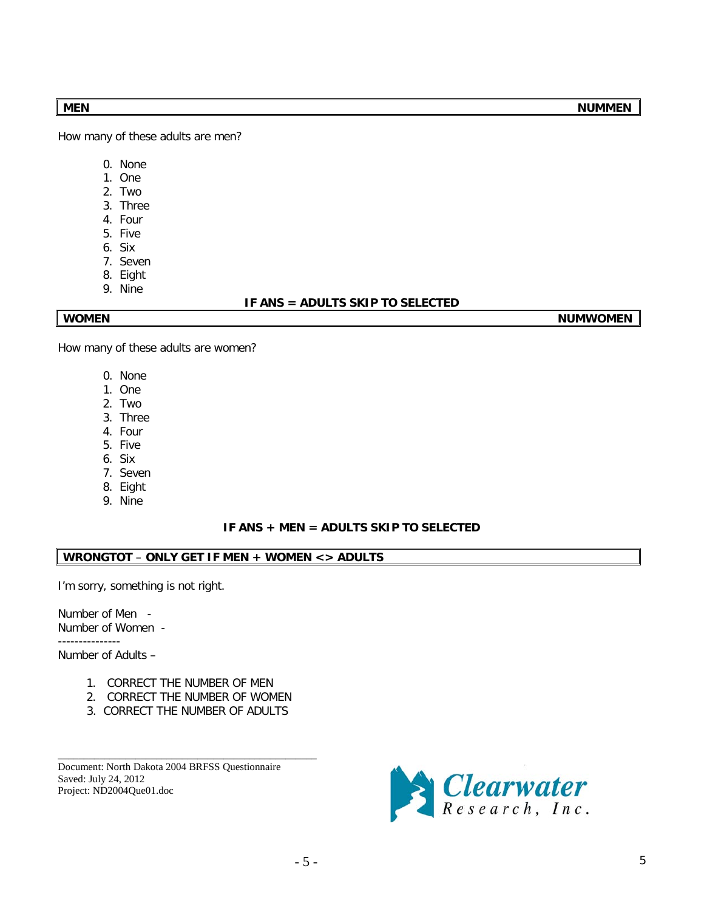How many of these adults are men?

- 0. None
- 1. One
- 2. Two
- 3. Three
- 4. Four
- 5. Five
- 6. Six
- 7. Seven
- 8. Eight
- 9. Nine

## **IF ANS = ADULTS SKIP TO SELECTED**

**WOMEN NUMWOMEN NUMWOMEN** 

How many of these adults are women?

- 0. None
- 1. One
- 2. Two
- 3. Three
- 4. Four
- 5. Five
- 6. Six
- 7. Seven
- 8. Eight
- 9. Nine

## **IF ANS + MEN = ADULTS SKIP TO SELECTED**

# **WRONGTOT** – **ONLY GET IF MEN + WOMEN <> ADULTS**

I'm sorry, something is not right.

Number of Men - Number of Women -

---------------

Number of Adults –

- 1. CORRECT THE NUMBER OF MEN
- 2. CORRECT THE NUMBER OF WOMEN
- 3. CORRECT THE NUMBER OF ADULTS

\_\_\_\_\_\_\_\_\_\_\_\_\_\_\_\_\_\_\_\_\_\_\_\_\_\_\_\_\_\_\_\_\_\_\_\_\_\_\_\_\_\_\_\_\_\_\_\_\_\_

Document: North Dakota 2004 BRFSS Questionnaire Saved: July 24, 2012 Project: ND2004Que01.doc

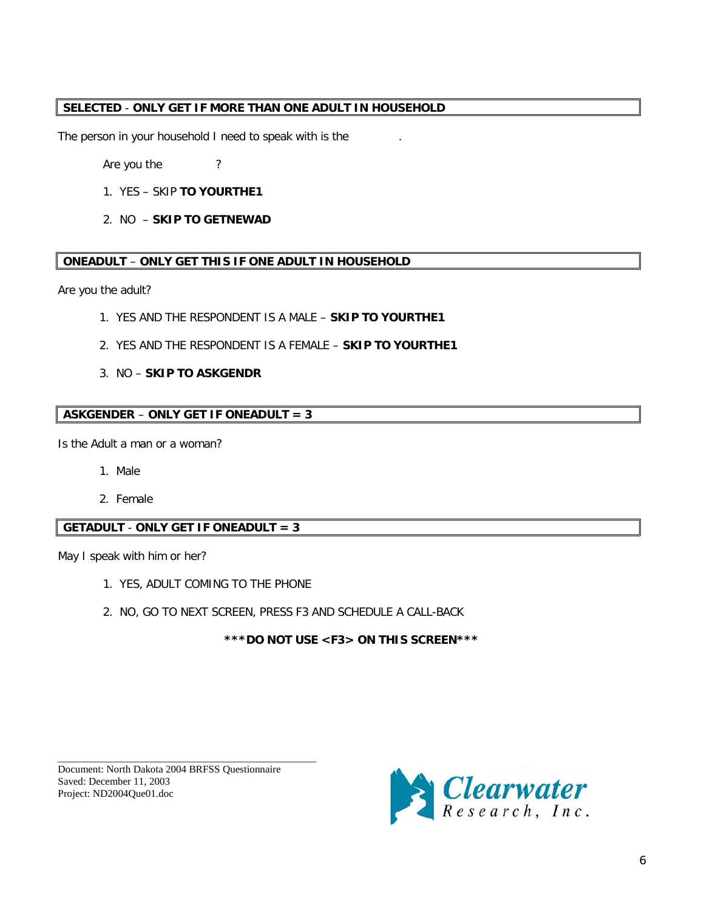# **SELECTED** - **ONLY GET IF MORE THAN ONE ADULT IN HOUSEHOLD**

The person in your household I need to speak with is the

Are you the ?

- 1. YES SKIP **TO YOURTHE1**
- 2. NO **SKIP TO GETNEWAD**

### **ONEADULT** – **ONLY GET THIS IF ONE ADULT IN HOUSEHOLD**

Are you the adult?

- 1. YES AND THE RESPONDENT IS A MALE **SKIP TO YOURTHE1**
- 2. YES AND THE RESPONDENT IS A FEMALE **SKIP TO YOURTHE1**
- 3. NO **SKIP TO ASKGENDR**

## **ASKGENDER** – **ONLY GET IF ONEADULT = 3**

Is the Adult a man or a woman?

- 1. Male
- 2. Female

# **GETADULT** - **ONLY GET IF ONEADULT = 3**

May I speak with him or her?

- 1. YES, ADULT COMING TO THE PHONE
- 2. NO, GO TO NEXT SCREEN, PRESS F3 AND SCHEDULE A CALL-BACK

**\*\*\*DO NOT USE <F3> ON THIS SCREEN\*\*\***

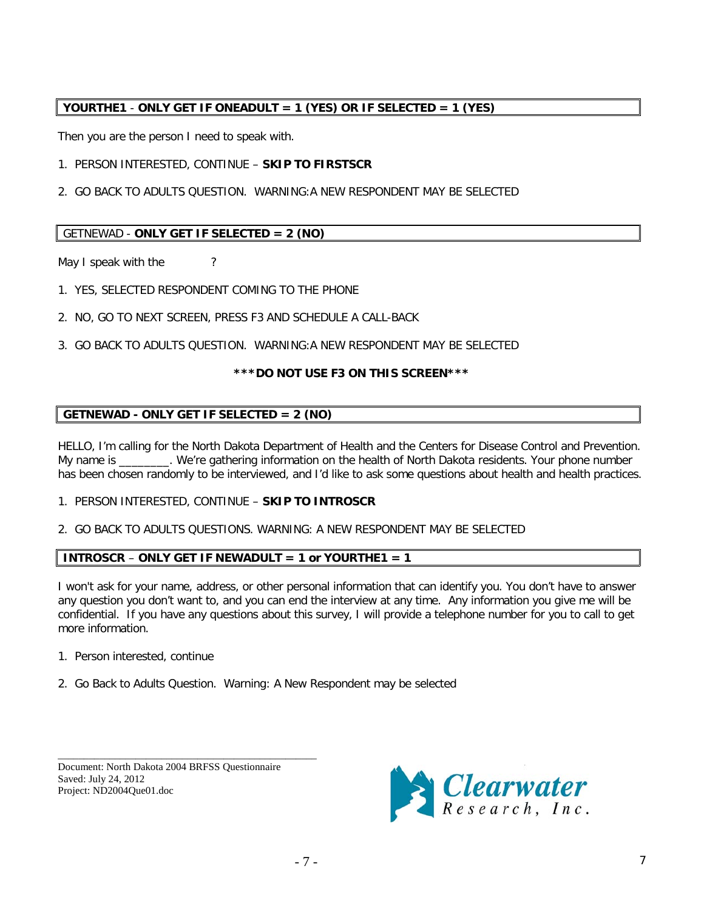# **YOURTHE1** - **ONLY GET IF ONEADULT = 1 (YES) OR IF SELECTED = 1 (YES)**

Then you are the person I need to speak with.

1. PERSON INTERESTED, CONTINUE – **SKIP TO FIRSTSCR**

2. GO BACK TO ADULTS QUESTION. WARNING:A NEW RESPONDENT MAY BE SELECTED

# GETNEWAD - **ONLY GET IF SELECTED = 2 (NO)**

May I speak with the ?

- 1. YES, SELECTED RESPONDENT COMING TO THE PHONE
- 2. NO, GO TO NEXT SCREEN, PRESS F3 AND SCHEDULE A CALL-BACK
- 3. GO BACK TO ADULTS QUESTION. WARNING:A NEW RESPONDENT MAY BE SELECTED

# **\*\*\*DO NOT USE F3 ON THIS SCREEN\*\*\***

# **GETNEWAD - ONLY GET IF SELECTED = 2 (NO)**

HELLO, I'm calling for the North Dakota Department of Health and the Centers for Disease Control and Prevention. My name is \_\_\_\_\_\_\_\_. We're gathering information on the health of North Dakota residents. Your phone number has been chosen randomly to be interviewed, and I'd like to ask some questions about health and health practices.

## 1. PERSON INTERESTED, CONTINUE – **SKIP TO INTROSCR**

2. GO BACK TO ADULTS QUESTIONS. WARNING: A NEW RESPONDENT MAY BE SELECTED

# **INTROSCR** – **ONLY GET IF NEWADULT = 1 or YOURTHE1 = 1**

I won't ask for your name, address, or other personal information that can identify you. You don't have to answer any question you don't want to, and you can end the interview at any time. Any information you give me will be confidential. If you have any questions about this survey, I will provide a telephone number for you to call to get more information.

- 1. Person interested, continue
- 2. Go Back to Adults Question. Warning: A New Respondent may be selected

Document: North Dakota 2004 BRFSS Questionnaire Saved: July 24, 2012 Project: ND2004Que01.doc

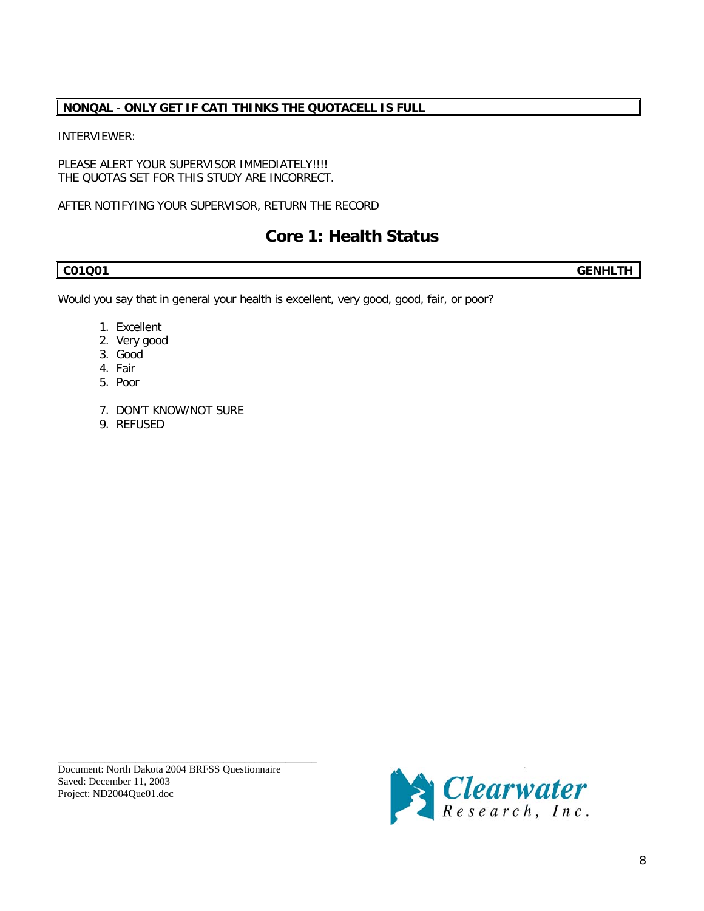# **NONQAL** - **ONLY GET IF CATI THINKS THE QUOTACELL IS FULL**

# INTERVIEWER:

PLEASE ALERT YOUR SUPERVISOR IMMEDIATELY !!!! THE QUOTAS SET FOR THIS STUDY ARE INCORRECT.

AFTER NOTIFYING YOUR SUPERVISOR, RETURN THE RECORD

# **Core 1: Health Status**

**C01Q01 GENHLTH**

Would you say that in general your health is excellent, very good, good, fair, or poor?

- 1. Excellent
- 2. Very good
- 3. Good
- 4. Fair
- 5. Poor
- 7. DON'T KNOW/NOT SURE
- 9. REFUSED

Document: North Dakota 2004 BRFSS Questionnaire Saved: December 11, 2003 Project: ND2004Que01.doc

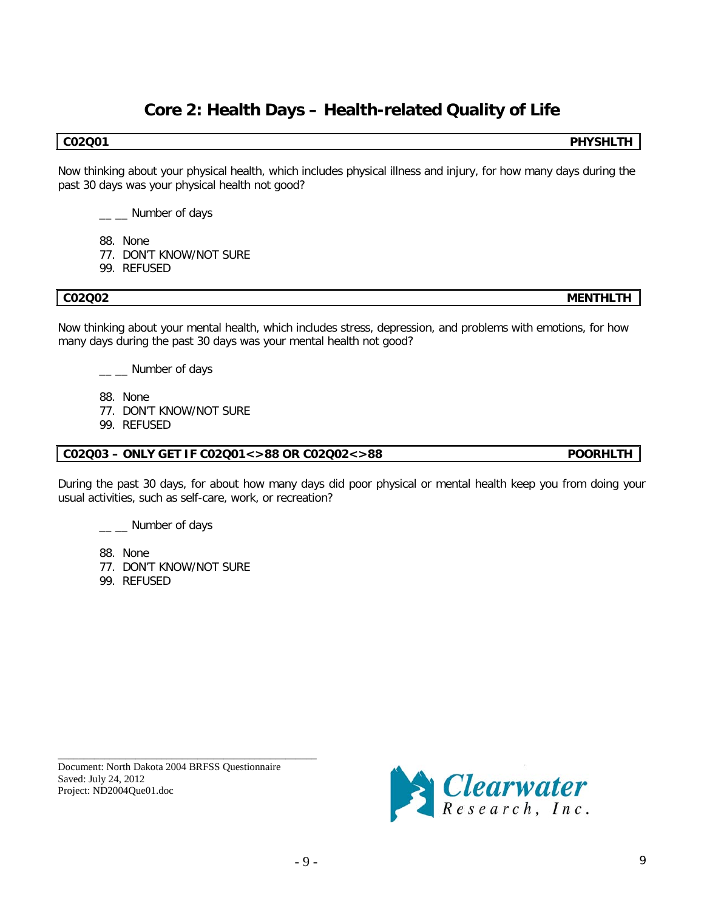# **Core 2: Health Days – Health-related Quality of Life**

Now thinking about your physical health, which includes physical illness and injury, for how many days during the past 30 days was your physical health not good?

\_ \_ Number of days

- 88. None
- 77. DON'T KNOW/NOT SURE
- 99. REFUSED

Now thinking about your mental health, which includes stress, depression, and problems with emotions, for how many days during the past 30 days was your mental health not good?

\_ \_ Number of days

88. None

77. DON'T KNOW/NOT SURE

99. REFUSED

## **C02Q03 – ONLY GET IF C02Q01<>88 OR C02Q02<>88 POORHLTH**

During the past 30 days, for about how many days did poor physical or mental health keep you from doing your usual activities, such as self-care, work, or recreation?

\_ \_ Number of days

88. None

- 77. DON'T KNOW/NOT SURE
- 99. REFUSED

Document: North Dakota 2004 BRFSS Questionnaire Saved: July 24, 2012 Project: ND2004Que01.doc

\_\_\_\_\_\_\_\_\_\_\_\_\_\_\_\_\_\_\_\_\_\_\_\_\_\_\_\_\_\_\_\_\_\_\_\_\_\_\_\_\_\_\_\_\_\_\_\_\_\_



# **C02Q02 MENTHLTH**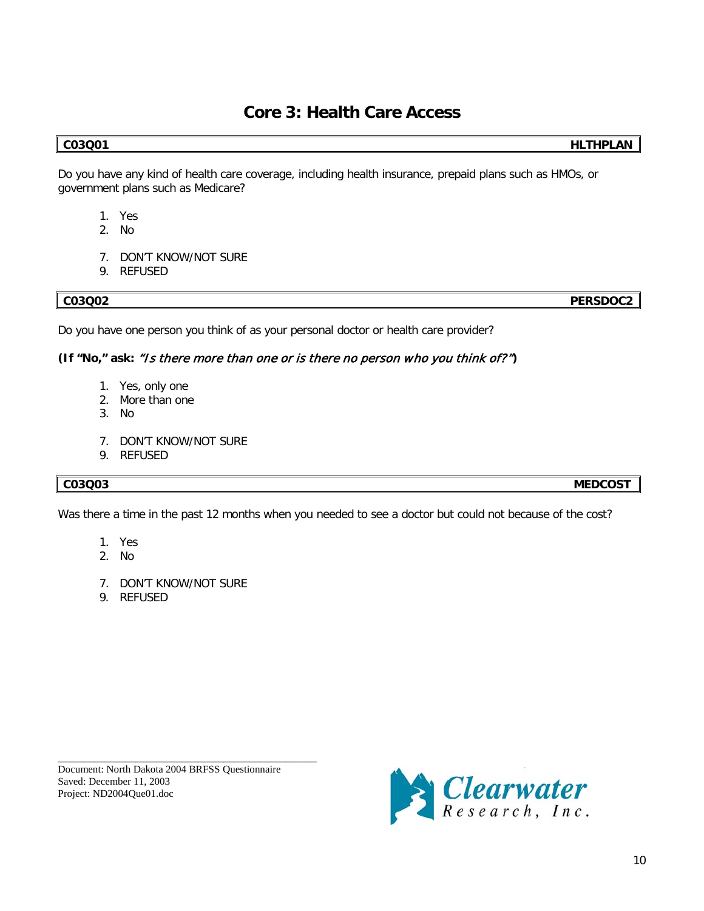# **Core 3: Health Care Access**

### **C03Q01 HLTHPLAN**

Do you have any kind of health care coverage, including health insurance, prepaid plans such as HMOs, or government plans such as Medicare?

- 1. Yes
- 2. No
- 7. DON'T KNOW/NOT SURE
- 9. REFUSED

**C03Q02 PERSDOC2**

Do you have one person you think of as your personal doctor or health care provider?

# **(If "No," ask:** "Is there more than one or is there no person who you think of?"**)**

- 1. Yes, only one
- 2. More than one
- 3. No
- 7. DON'T KNOW/NOT SURE
- 9. REFUSED

## **C03Q03 MEDCOST**

Was there a time in the past 12 months when you needed to see a doctor but could not because of the cost?

- 1. Yes
- 2. No
- 7. DON'T KNOW/NOT SURE
- 9. REFUSED

\_\_\_\_\_\_\_\_\_\_\_\_\_\_\_\_\_\_\_\_\_\_\_\_\_\_\_\_\_\_\_\_\_\_\_\_\_\_\_\_\_\_\_\_\_\_\_\_\_\_ Document: North Dakota 2004 BRFSS Questionnaire Saved: December 11, 2003 Project: ND2004Que01.doc

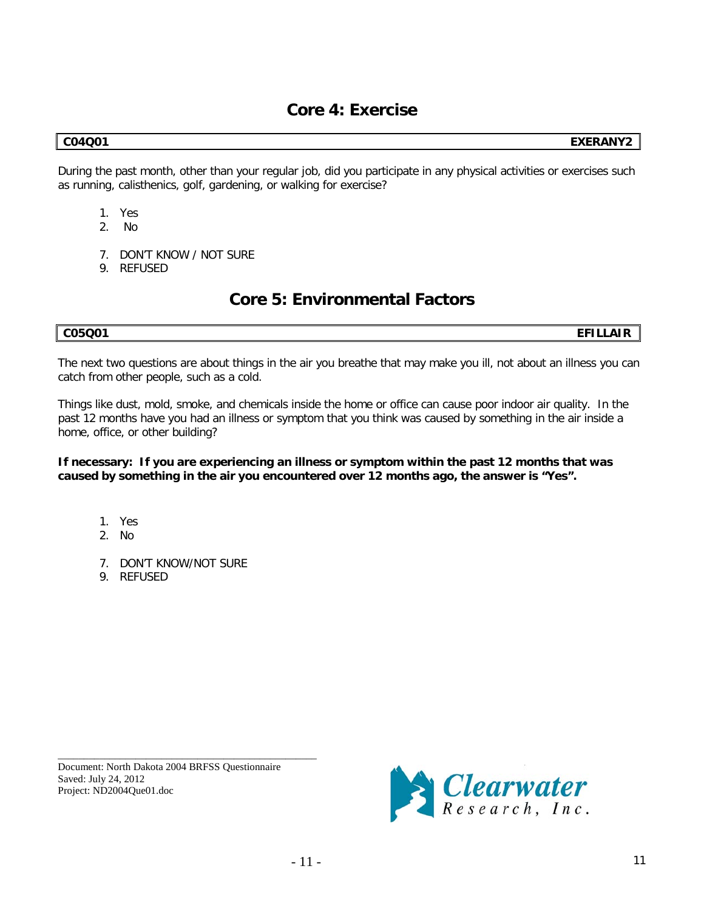# **Core 4: Exercise**

**C04Q01 EXERANY2**

During the past month, other than your regular job, did you participate in any physical activities or exercises such as running, calisthenics, golf, gardening, or walking for exercise?

- 1. Yes
- 2. No
- 7. DON'T KNOW / NOT SURE
- 9. REFUSED

# **Core 5: Environmental Factors**

**C05Q01 EFILLAIR**

The next two questions are about things in the air you breathe that may make you ill, not about an illness you can catch from other people, such as a cold.

Things like dust, mold, smoke, and chemicals inside the home or office can cause poor indoor air quality. In the past 12 months have you had an illness or symptom that you think was caused by something in the air inside a home, office, or other building?

**If necessary: If you are experiencing an illness or symptom within the past 12 months that was caused by something in the air you encountered over 12 months ago, the answer is "Yes".**

- 1. Yes
- 2. No
- 7. DON'T KNOW/NOT SURE
- 9. REFUSED

Document: North Dakota 2004 BRFSS Questionnaire Saved: July 24, 2012 Project: ND2004Que01.doc

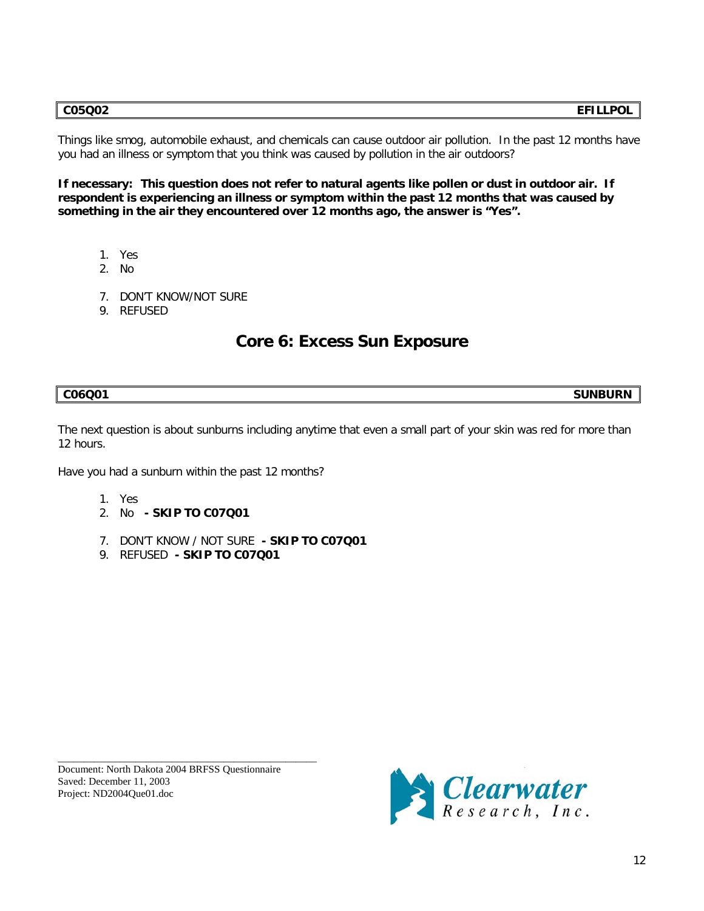Things like smog, automobile exhaust, and chemicals can cause outdoor air pollution. In the past 12 months have you had an illness or symptom that you think was caused by pollution in the air outdoors?

**If necessary: This question does not refer to natural agents like pollen or dust in outdoor air. If respondent is experiencing an illness or symptom within the past 12 months that was caused by something in the air they encountered over 12 months ago, the answer is "Yes".**

- 1. Yes
- 2. No
- 7. DON'T KNOW/NOT SURE
- 9. REFUSED

# **Core 6: Excess Sun Exposure**

**C06Q01 SUNBURN**

The next question is about sunburns including anytime that even a small part of your skin was red for more than 12 hours.

Have you had a sunburn within the past 12 months?

- 1. Yes
- 2. No **- SKIP TO C07Q01**
- 7. DON'T KNOW / NOT SURE **- SKIP TO C07Q01**
- 9. REFUSED **- SKIP TO C07Q01**

Document: North Dakota 2004 BRFSS Questionnaire Saved: December 11, 2003 Project: ND2004Que01.doc

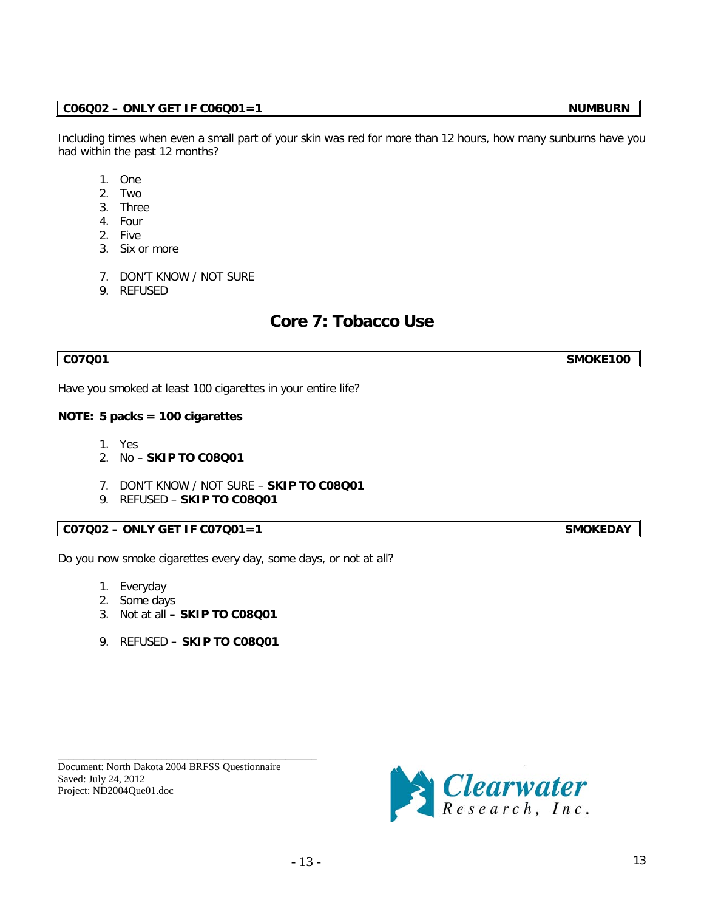# **C06Q02 – ONLY GET IF C06Q01=1 NUMBURN**

Including times when even a small part of your skin was red for more than 12 hours, how many sunburns have you had within the past 12 months?

- 1. One
- 2. Two
- 3. Three
- 4. Four
- 2. Five
- 3. Six or more
- 7. DON'T KNOW / NOT SURE
- 9. REFUSED

# **Core 7: Tobacco Use**

**C07Q01 SMOKE100**

Have you smoked at least 100 cigarettes in your entire life?

### **NOTE: 5 packs = 100 cigarettes**

- 1. Yes
- 2. No **SKIP TO C08Q01**
- 7. DON'T KNOW / NOT SURE **SKIP TO C08Q01**
- 9. REFUSED **SKIP TO C08Q01**

# **C07Q02 – ONLY GET IF C07Q01=1 SMOKEDAY**

Do you now smoke cigarettes every day, some days, or not at all?

- 1. Everyday
- 2. Some days
- 3. Not at all **– SKIP TO C08Q01**
- 9. REFUSED **– SKIP TO C08Q01**

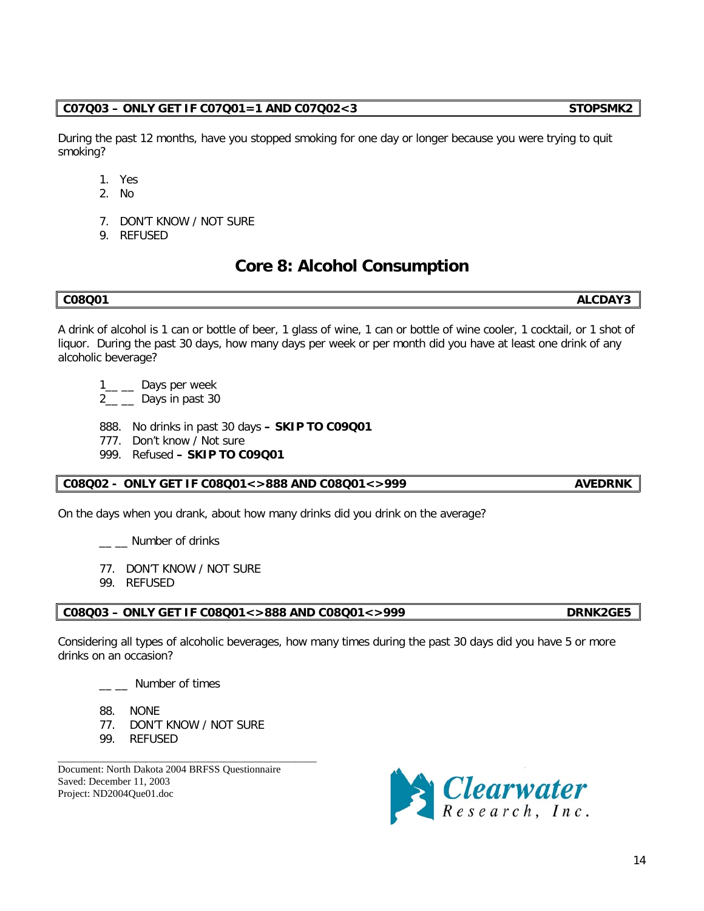#### **C07Q03 – ONLY GET IF C07Q01=1 AND C07Q02<3 STOPSMK2**

During the past 12 months, have you stopped smoking for one day or longer because you were trying to quit smoking?

- 1. Yes
- 2. No
- 7. DON'T KNOW / NOT SURE
- 9. REFUSED

# **Core 8: Alcohol Consumption**

## **C08Q01 ALCDAY3**

A drink of alcohol is 1 can or bottle of beer, 1 glass of wine, 1 can or bottle of wine cooler, 1 cocktail, or 1 shot of liquor. During the past 30 days, how many days per week or per month did you have at least one drink of any alcoholic beverage?

- 1<sup>-1</sup> Days per week
- 2<sub>\_\_</sub> \_\_ Days in past 30
- 888. No drinks in past 30 days **– SKIP TO C09Q01**
- 777. Don't know / Not sure
- 999. Refused **– SKIP TO C09Q01**

# **C08Q02 - ONLY GET IF C08Q01<>888 AND C08Q01<>999 AVEDRNK**

On the days when you drank, about how many drinks did you drink on the average?

\_\_ \_ Number of drinks

- 77. DON'T KNOW / NOT SURE
- 99. REFUSED

# **C08Q03 – ONLY GET IF C08Q01<>888 AND C08Q01<>999 DRNK2GE5**

Considering all types of alcoholic beverages, how many times during the past 30 days did you have 5 or more drinks on an occasion?

 $\equiv$  Number of times

- 88. NONE
- 77. DON'T KNOW / NOT SURE

\_\_\_\_\_\_\_\_\_\_\_\_\_\_\_\_\_\_\_\_\_\_\_\_\_\_\_\_\_\_\_\_\_\_\_\_\_\_\_\_\_\_\_\_\_\_\_\_\_\_

99. REFUSED

Document: North Dakota 2004 BRFSS Questionnaire Saved: December 11, 2003 Project: ND2004Que01.doc

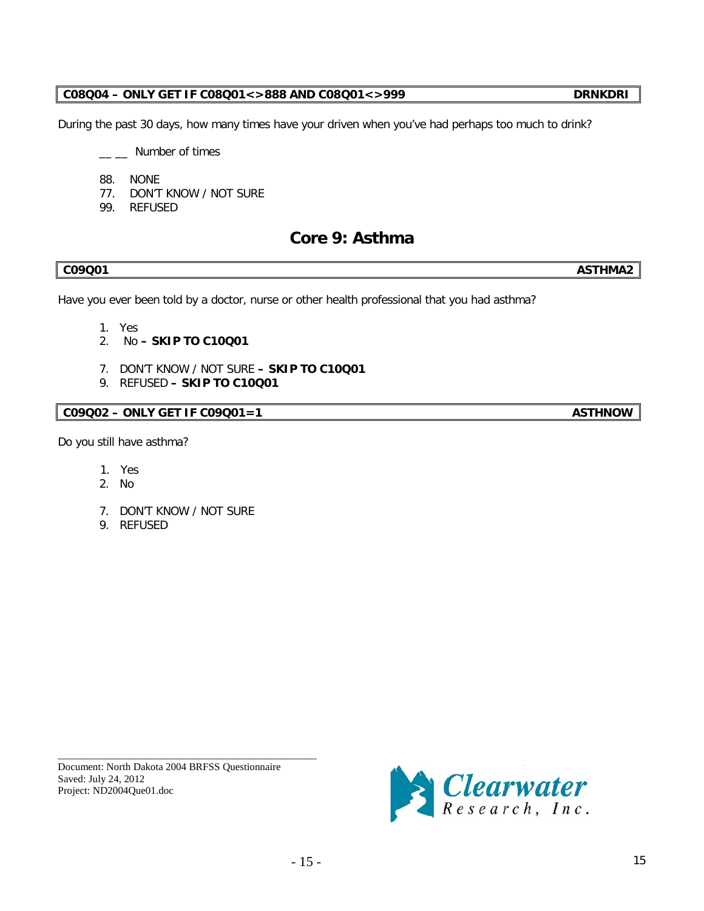Saved: July 24, 2012 Project: ND2004Que01.doc

\_\_\_\_\_\_\_\_\_\_\_\_\_\_\_\_\_\_\_\_\_\_\_\_\_\_\_\_\_\_\_\_\_\_\_\_\_\_\_\_\_\_\_\_\_\_\_\_\_\_ Document: North Dakota 2004 BRFSS Questionnaire

# **C08Q04 – ONLY GET IF C08Q01<>888 AND C08Q01<>999 DRNKDRI**

During the past 30 days, how many times have your driven when you've had perhaps too much to drink?

- \_\_ \_\_ Number of times
- 88. NONE
- 77. DON'T KNOW / NOT SURE
- 99. REFUSED

# **Core 9: Asthma**

Have you ever been told by a doctor, nurse or other health professional that you had asthma?

- 1. Yes
- 2. No **– SKIP TO C10Q01**
- 7. DON'T KNOW / NOT SURE **– SKIP TO C10Q01**
- 9. REFUSED **– SKIP TO C10Q01**

# **C09Q02 – ONLY GET IF C09Q01=1** ASTHNOW

Do you still have asthma?

- 1. Yes
- 2. No
- 7. DON'T KNOW / NOT SURE
- 9. REFUSED



**C09Q01 ASTHMA2**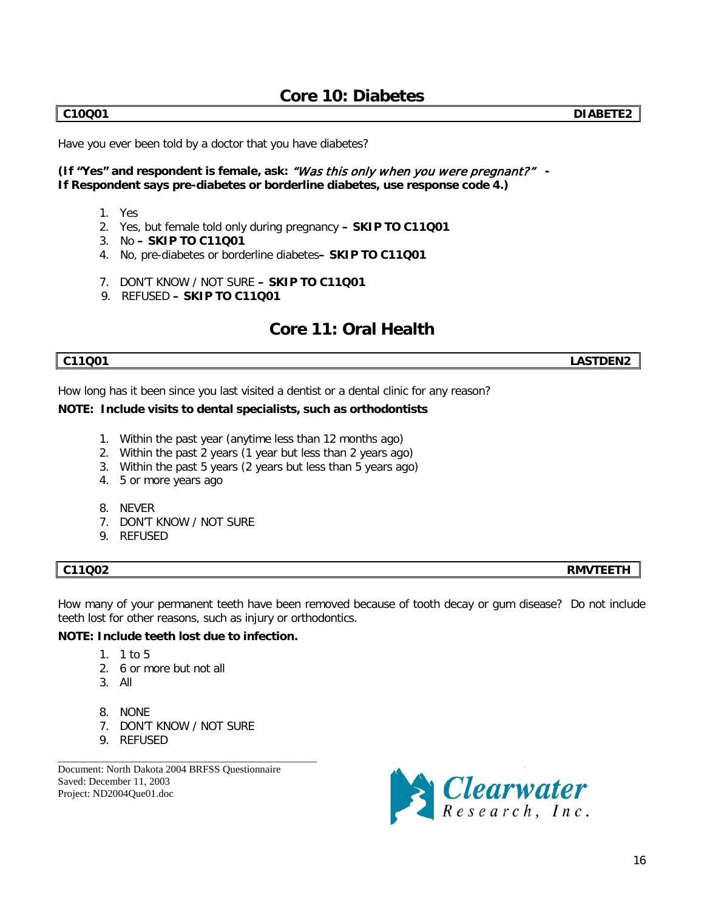# **Core 10: Diabetes**

Have you ever been told by a doctor that you have diabetes?

## **(If "Yes" and respondent is female, ask:** "Was this only w hen you were pregnant?" **- If Respondent says pre-diabetes or borderline diabetes, use response code 4.)**

- 1. Yes
- 2. Yes, but female told only during pregnancy **– SKIP TO C11Q01**
- 3. No **– SKIP TO C11Q01**
- 4. No, pre-diabetes or borderline diabetes**– SKIP TO C11Q01**
- 7. DON'T KNOW / NOT SURE **– SKIP TO C11Q01**
- 9. REFUSED **– SKIP TO C11Q01**

# **Core 11: Oral Health**

How long has it been since you last visited a dentist or a dental clinic for any reason?

### **NOTE: Include visits to dental specialists, such as orthodontists**

- 1. Within the past year (anytime less than 12 months ago)
- 2. Within the past 2 years (1 year but less than 2 years ago)
- 3. Within the past 5 years (2 years but less than 5 years ago)
- 4. 5 or more years ago
- 8. NEVER
- 7. DON'T KNOW / NOT SURE
- 9. REFUSED

How many of your permanent teeth have been removed because of tooth decay or gum disease? Do not include teeth lost for other reasons, such as injury or orthodontics.

## **NOTE: Include teeth lost due to infection.**

- 1. 1 to 5
- 2. 6 or more but not all
- 3. All
- 8. NONE
- 7. DON'T KNOW / NOT SURE

\_\_\_\_\_\_\_\_\_\_\_\_\_\_\_\_\_\_\_\_\_\_\_\_\_\_\_\_\_\_\_\_\_\_\_\_\_\_\_\_\_\_\_\_\_\_\_\_\_\_

9. REFUSED

Document: North Dakota 2004 BRFSS Questionnaire Saved: December 11, 2003 Project: ND2004Que01.doc



**C11Q02 RMVTEETH**

**C11Q01 LASTDEN2**

**C10Q01 DIABETE2**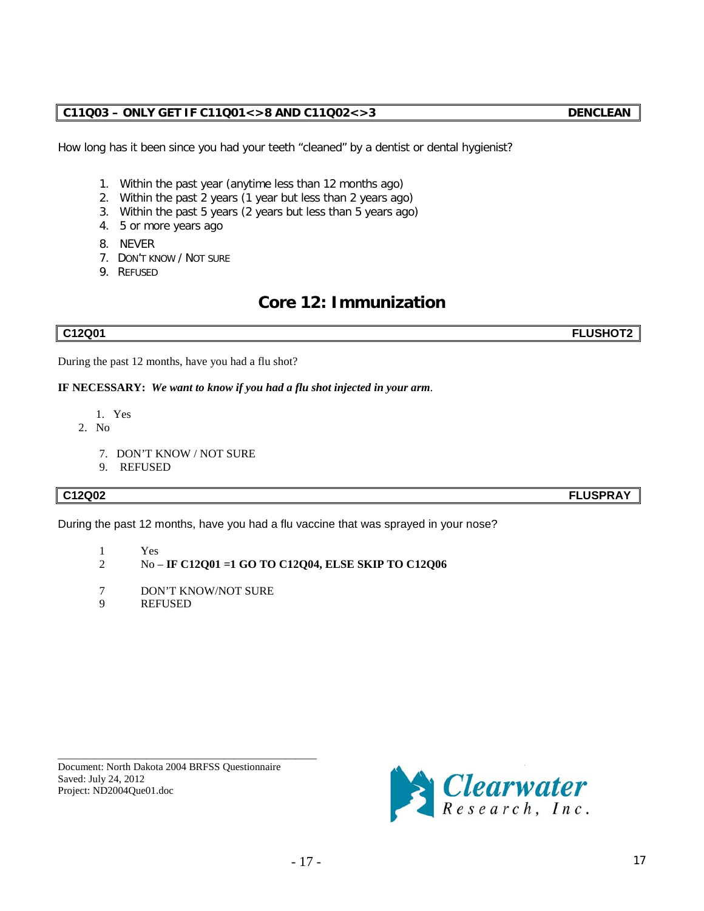# **C11Q03 – ONLY GET IF C11Q01<>8 AND C11Q02<>3 DENCLEAN**

How long has it been since you had your teeth "cleaned" by a dentist or dental hygienist?

- 1. Within the past year (anytime less than 12 months ago)
- 2. Within the past 2 years (1 year but less than 2 years ago)
- 3. Within the past 5 years (2 years but less than 5 years ago)
- 4. 5 or more years ago
- 8. NEVER
- 7. DON'T KNOW / NOT SURE
- 9. REFUSED

# **Core 12: Immunization**

**C12Q01 FLUSHOT2**

During the past 12 months, have you had a flu shot?

**IF NECESSARY:** *We want to know if you had a flu shot injected in your arm.*

- 1. Yes
- 2. No

Saved: July 24, 2012 Project: ND2004Que01.doc

- 7. DON'T KNOW / NOT SURE
- 9. REFUSED

## **C12Q02 FLUSPRAY**

During the past 12 months, have you had a flu vaccine that was sprayed in your nose?

- $\begin{array}{ccc} 1 & & \text{Yes} \\ 2 & & \text{No} \end{array}$
- 2 No **IF C12Q01 =1 GO TO C12Q04, ELSE SKIP TO C12Q06**
- 7 DON'T KNOW/NOT SURE

\_\_\_\_\_\_\_\_\_\_\_\_\_\_\_\_\_\_\_\_\_\_\_\_\_\_\_\_\_\_\_\_\_\_\_\_\_\_\_\_\_\_\_\_\_\_\_\_\_\_ Document: North Dakota 2004 BRFSS Questionnaire

9 REFUSED

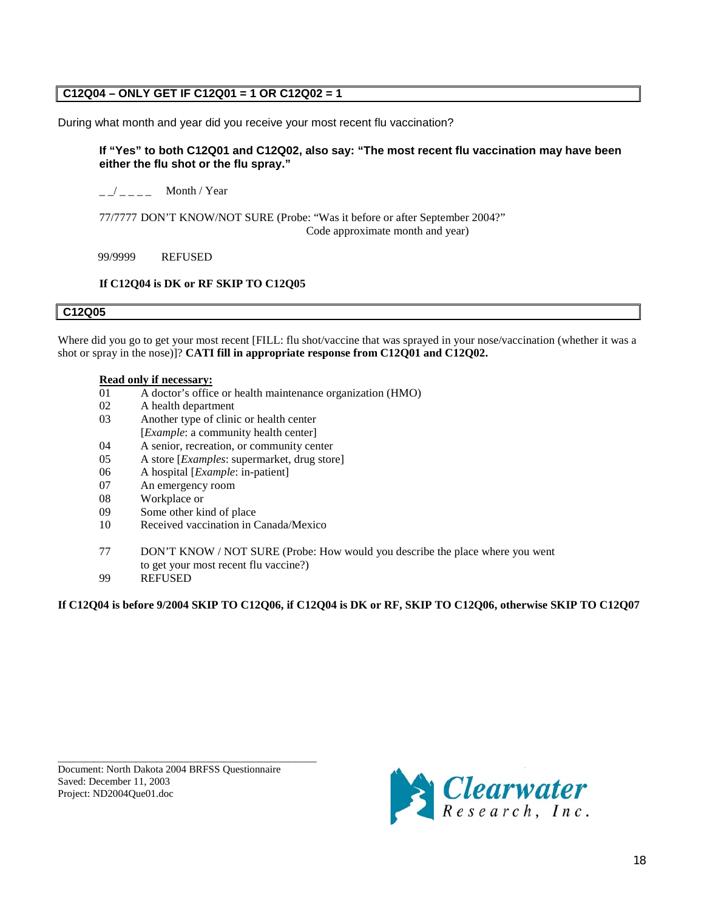# **C12Q04 – ONLY GET IF C12Q01 = 1 OR C12Q02 = 1**

During what month and year did you receive your most recent flu vaccination?

### **If "Yes" to both C12Q01 and C12Q02, also say: "The most recent flu vaccination may have been either the flu shot or the flu spray."**

 $\frac{1}{2}$   $\frac{1}{2}$  Month / Year

77/7777 DON'T KNOW/NOT SURE (Probe: "Was it before or after September 2004?" Code approximate month and year)

99/9999 REFUSED

### **If C12Q04 is DK or RF SKIP TO C12Q05**

### **C12Q05**

Where did you go to get your most recent [FILL: flu shot/vaccine that was sprayed in your nose/vaccination (whether it was a shot or spray in the nose)]? **CATI fill in appropriate response from C12Q01 and C12Q02.**

#### **Read only if necessary:**

- 01 A doctor's office or health maintenance organization (HMO)
- 02 A health department
- 03 Another type of clinic or health center
- [*Example*: a community health center]
- 04 A senior, recreation, or community center
- 05 A store [*Examples*: supermarket, drug store]
- 06 A hospital [*Example*: in-patient]
- 07 An emergency room
- 08 Workplace or
- 09 Some other kind of place
- 10 Received vaccination in Canada/Mexico
- 77 DON'T KNOW / NOT SURE (Probe: How would you describe the place where you went to get your most recent flu vaccine?)
- 99 REFUSED

**If C12Q04 is before 9/2004 SKIP TO C12Q06, if C12Q04 is DK or RF, SKIP TO C12Q06, otherwise SKIP TO C12Q07** 

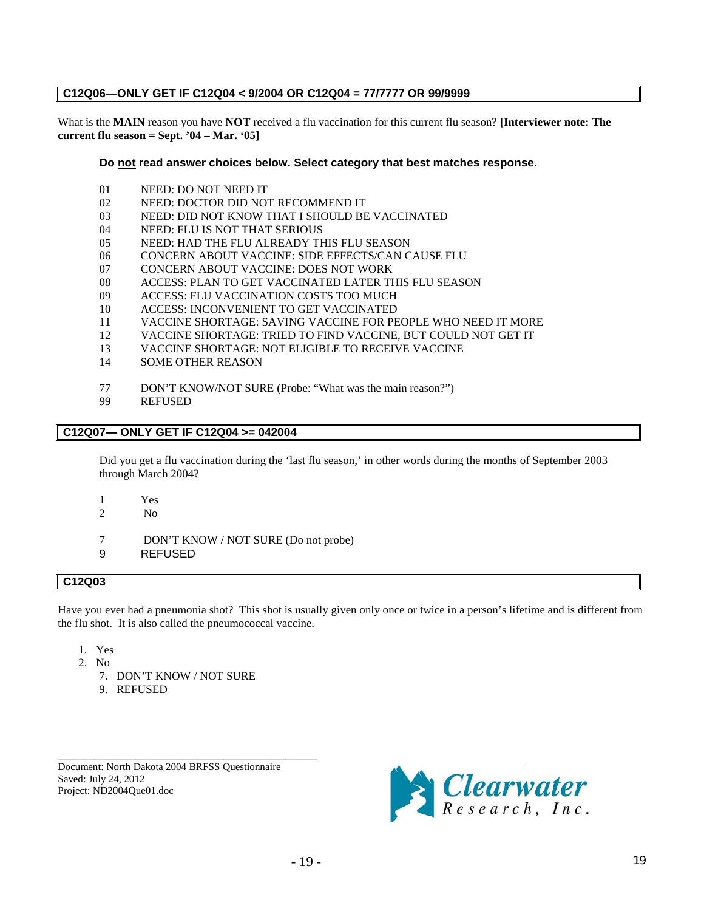### **C12Q06—ONLY GET IF C12Q04 < 9/2004 OR C12Q04 = 77/7777 OR 99/9999**

What is the **MAIN** reason you have **NOT** received a flu vaccination for this current flu season? **[Interviewer note: The current flu season = Sept. '04 – Mar. '05]**

**Do not read answer choices below. Select category that best matches response.**

- 01 NEED: DO NOT NEED IT
- 02 NEED: DOCTOR DID NOT RECOMMEND IT
- 03 NEED: DID NOT KNOW THAT I SHOULD BE VACCINATED
- 04 NEED: FLU IS NOT THAT SERIOUS
- 05 NEED: HAD THE FLU ALREADY THIS FLU SEASON
- 06 CONCERN ABOUT VACCINE: SIDE EFFECTS/CAN CAUSE FLU
- 07 CONCERN ABOUT VACCINE: DOES NOT WORK
- 08 ACCESS: PLAN TO GET VACCINATED LATER THIS FLU SEASON
- 09 ACCESS: FLU VACCINATION COSTS TOO MUCH
- 10 ACCESS: INCONVENIENT TO GET VACCINATED
- 11 VACCINE SHORTAGE: SAVING VACCINE FOR PEOPLE WHO NEED IT MORE<br>12 VACCINE SHORTAGE: TRIED TO FIND VACCINE. BUT COULD NOT GET IT
- 12 VACCINE SHORTAGE: TRIED TO FIND VACCINE, BUT COULD NOT GET IT
- 13 VACCINE SHORTAGE: NOT ELIGIBLE TO RECEIVE VACCINE
- 14 SOME OTHER REASON
- 77 DON'T KNOW/NOT SURE (Probe: "What was the main reason?")
- 99 REFUSED

#### **C12Q07— ONLY GET IF C12Q04 >= 042004**

Did you get a flu vaccination during the 'last flu season,' in other words during the months of September 2003 through March 2004?

- 1 Yes
- 2 No

7 DON'T KNOW / NOT SURE (Do not probe)

9 REFUSED

### **C12Q03**

Have you ever had a pneumonia shot? This shot is usually given only once or twice in a person's lifetime and is different from the flu shot. It is also called the pneumococcal vaccine.

- 1. Yes
- 2. No
	- 7. DON'T KNOW / NOT SURE
	- 9. REFUSED

Document: North Dakota 2004 BRFSS Questionnaire Saved: July 24, 2012 Project: ND2004Que01.doc

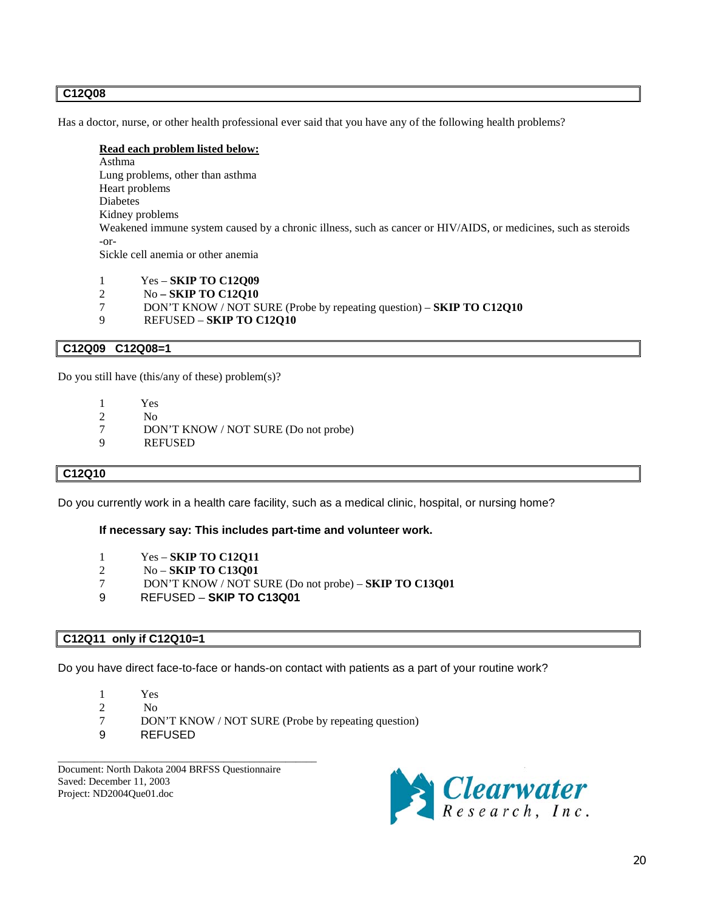### **C12Q08**

Has a doctor, nurse, or other health professional ever said that you have any of the following health problems?

#### **Read each problem listed below:**

Asthma Lung problems, other than asthma Heart problems Diabetes Kidney problems Weakened immune system caused by a chronic illness, such as cancer or HIV/AIDS, or medicines, such as steroids -or-Sickle cell anemia or other anemia

- 1 Yes **SKIP TO C12Q09**<br>2 No **SKIP TO C12O10**
- 2 No **– SKIP TO C12Q10**
- 7 DON'T KNOW / NOT SURE (Probe by repeating question) **SKIP TO C12Q10**
- 9 REFUSED **SKIP TO C12Q10**

### **C12Q09 C12Q08=1**

Do you still have (this/any of these) problem $(s)$ ?

- 1 Yes
- $\frac{2}{7}$  No<br>DO
- 7 DON'T KNOW / NOT SURE (Do not probe)<br>9 REFUSED
- **REFUSED**

#### **C12Q10**

Do you currently work in a health care facility, such as a medical clinic, hospital, or nursing home?

#### **If necessary say: This includes part-time and volunteer work.**

- 1 Yes **SKIP TO C12Q11**
- 2 No **SKIP TO C13Q01**
- 7 DON'T KNOW / NOT SURE (Do not probe) **SKIP TO C13Q01**
- 9 REFUSED **SKIP TO C13Q01**

#### **C12Q11 only if C12Q10=1**

Do you have direct face-to-face or hands-on contact with patients as a part of your routine work?

- 1 Yes
- $\frac{2}{7}$  No<br>7 DO
- 7 DON'T KNOW / NOT SURE (Probe by repeating question)
- 9 REFUSED

Document: North Dakota 2004 BRFSS Questionnaire Saved: December 11, 2003 Project: ND2004Que01.doc

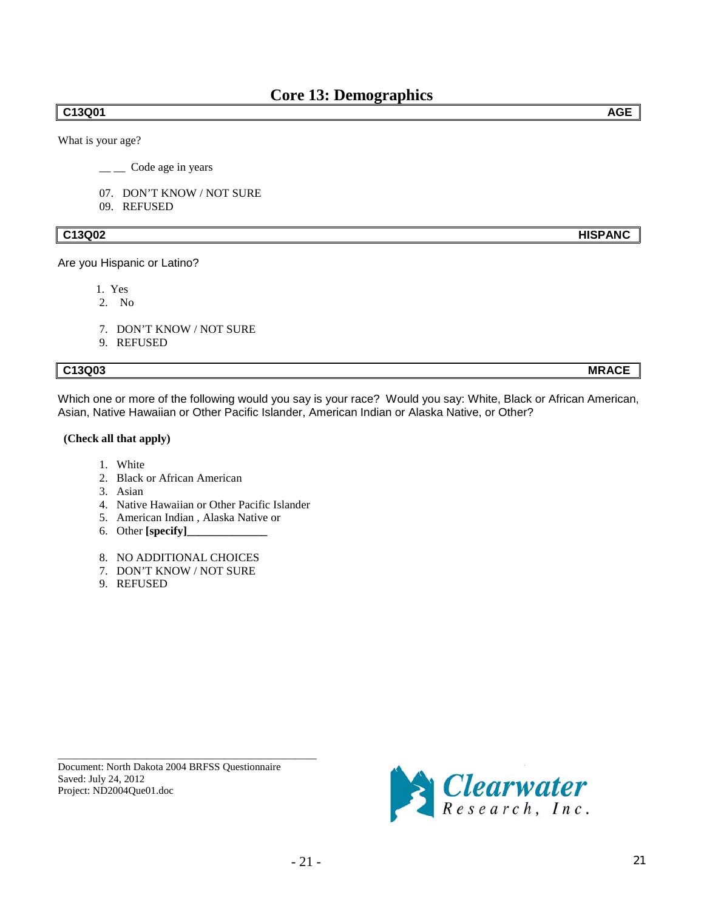### **C13Q01 AGE**

What is your age?

 $\frac{1}{\sqrt{2}}$  Code age in years

- 07. DON'T KNOW / NOT SURE
- 09. REFUSED

## **C13Q02 HISPANC**

Are you Hispanic or Latino?

- 1. Yes
- 2. No
- 7. DON'T KNOW / NOT SURE
- 9. REFUSED

# **C13Q03 MRACE**

Which one or more of the following would you say is your race? Would you say: White, Black or African American, Asian, Native Hawaiian or Other Pacific Islander, American Indian or Alaska Native, or Other?

#### **(Check all that apply)**

- 1. White
- 2. Black or African American
- 3. Asian
- 4. Native Hawaiian or Other Pacific Islander
- 5. American Indian , Alaska Native or
- 6. Other **[specify]\_\_\_\_\_\_\_\_\_\_\_\_\_\_**
- 8. NO ADDITIONAL CHOICES
- 7. DON'T KNOW / NOT SURE
- 9. REFUSED

Document: North Dakota 2004 BRFSS Questionnaire Saved: July 24, 2012 Project: ND2004Que01.doc

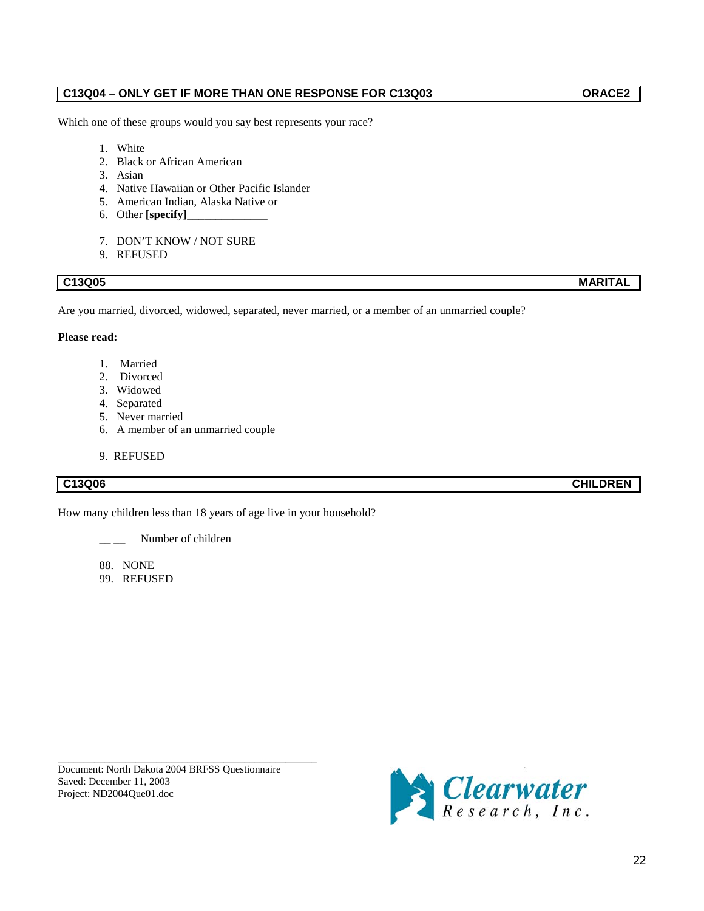# **C13Q04 – ONLY GET IF MORE THAN ONE RESPONSE FOR C13Q03 ORACE2**

Which one of these groups would you say best represents your race?

- 1. White
- 2. Black or African American
- 3. Asian
- 4. Native Hawaiian or Other Pacific Islander
- 5. American Indian, Alaska Native or
- 6. Other **[specify]\_**
- 7. DON'T KNOW / NOT SURE
- 9. REFUSED

# **C13Q05 MARITAL**

Are you married, divorced, widowed, separated, never married, or a member of an unmarried couple?

# **Please read:**

- 1. Married
- 2. Divorced
- 3. Widowed
- 4. Separated
- 5. Never married
- 6. A member of an unmarried couple
- 9. REFUSED

How many children less than 18 years of age live in your household?

Number of children

88. NONE

99. REFUSED

Document: North Dakota 2004 BRFSS Questionnaire Saved: December 11, 2003 Project: ND2004Que01.doc

\_\_\_\_\_\_\_\_\_\_\_\_\_\_\_\_\_\_\_\_\_\_\_\_\_\_\_\_\_\_\_\_\_\_\_\_\_\_\_\_\_\_\_\_\_\_\_\_\_\_



**C13Q06 CHILDREN**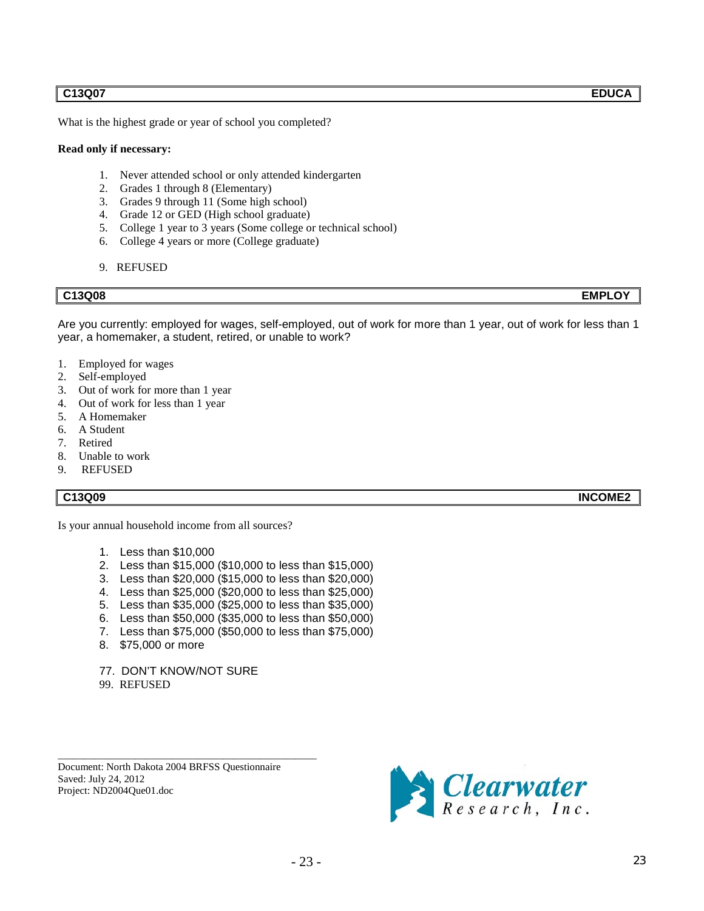### **C13Q07 EDUCA**

What is the highest grade or year of school you completed?

#### **Read only if necessary:**

- 1. Never attended school or only attended kindergarten
- 2. Grades 1 through 8 (Elementary)
- 3. Grades 9 through 11 (Some high school)
- 4. Grade 12 or GED (High school graduate)
- 5. College 1 year to 3 years (Some college or technical school)
- 6. College 4 years or more (College graduate)
- 9. REFUSED

Are you currently: employed for wages, self-employed, out of work for more than 1 year, out of work for less than 1 year, a homemaker, a student, retired, or unable to work?

- 1. Employed for wages
- 2. Self-employed
- 3. Out of work for more than 1 year
- 4. Out of work for less than 1 year
- 5. A Homemaker
- 6. A Student
- 7. Retired
- 8. Unable to work
- 9. REFUSED

#### **C13Q09 INCOME2**

Is your annual household income from all sources?

- 1. Less than \$10,000
- 2. Less than \$15,000 (\$10,000 to less than \$15,000)
- 3. Less than \$20,000 (\$15,000 to less than \$20,000)
- 4. Less than \$25,000 (\$20,000 to less than \$25,000)
- 5. Less than \$35,000 (\$25,000 to less than \$35,000)
- 6. Less than \$50,000 (\$35,000 to less than \$50,000)
- 7. Less than \$75,000 (\$50,000 to less than \$75,000)
- 8. \$75,000 or more

77. DON'T KNOW/NOT SURE

99. REFUSED

Document: North Dakota 2004 BRFSS Questionnaire Saved: July 24, 2012 Project: ND2004Que01.doc

\_\_\_\_\_\_\_\_\_\_\_\_\_\_\_\_\_\_\_\_\_\_\_\_\_\_\_\_\_\_\_\_\_\_\_\_\_\_\_\_\_\_\_\_\_\_\_\_\_\_



**C13Q08 EMPLOY**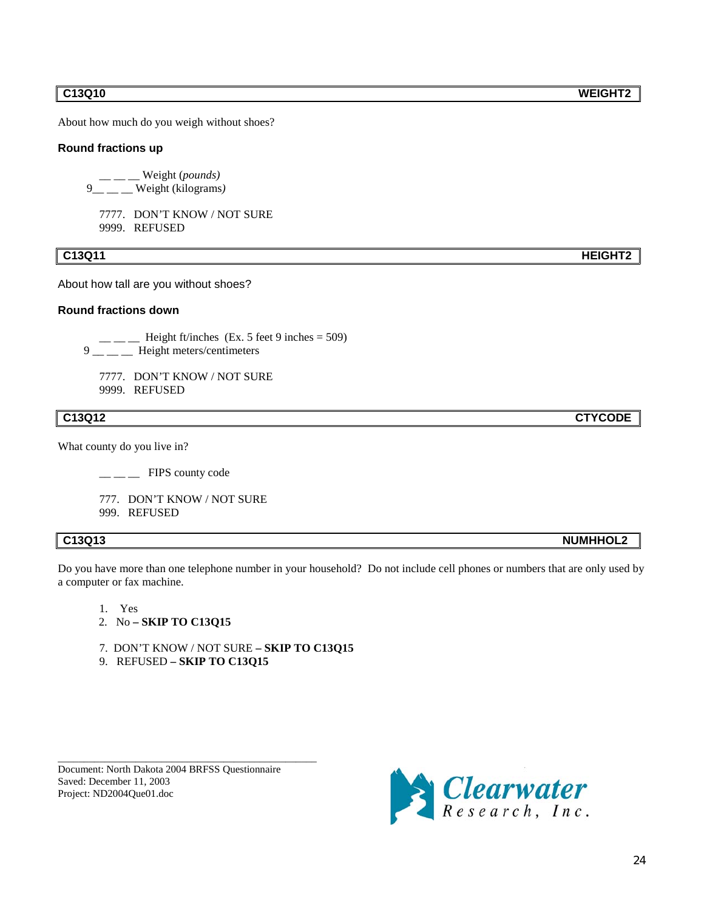About how much do you weigh without shoes?

#### **Round fractions up**

\_\_ \_\_ \_\_ Weight (*pounds)* 9\_\_ \_\_ \_\_ Weight (kilograms*)*

7777. DON'T KNOW / NOT SURE 9999. REFUSED

#### **C13Q11 HEIGHT2**

About how tall are you without shoes?

### **Round fractions down**

- $\frac{1}{2}$  Height ft/inches (Ex. 5 feet 9 inches = 509) 9 \_\_ \_\_ Height meters/centimeters
- 

7777. DON'T KNOW / NOT SURE 9999. REFUSED

What county do you live in?

| FIPS county code |  |
|------------------|--|
|------------------|--|

777. DON'T KNOW / NOT SURE

999. REFUSED

Do you have more than one telephone number in your household? Do not include cell phones or numbers that are only used by a computer or fax machine.

- 1. Yes
- 2. No **– SKIP TO C13Q15**
- 7. DON'T KNOW / NOT SURE **– SKIP TO C13Q15**
- 9. REFUSED **– SKIP TO C13Q15**

Document: North Dakota 2004 BRFSS Questionnaire Saved: December 11, 2003 Project: ND2004Que01.doc

\_\_\_\_\_\_\_\_\_\_\_\_\_\_\_\_\_\_\_\_\_\_\_\_\_\_\_\_\_\_\_\_\_\_\_\_\_\_\_\_\_\_\_\_\_\_\_\_\_\_



**C13Q12 CTYCODE**

**C13Q13 NUMHHOL2**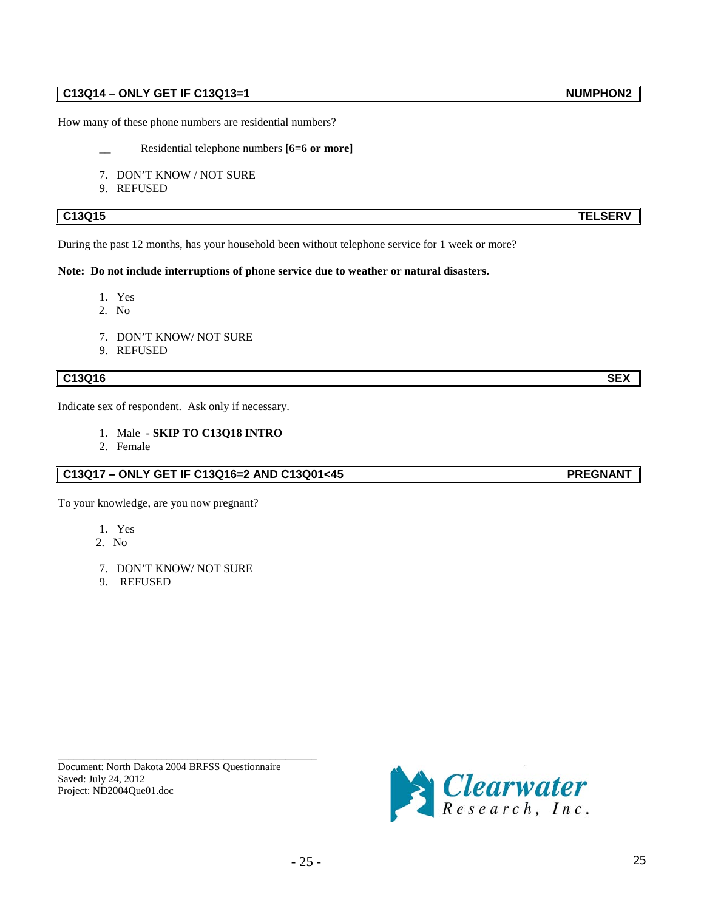# **C13Q14 – ONLY GET IF C13Q13=1** NUMPHON2

How many of these phone numbers are residential numbers?

- Residential telephone numbers [6=6 or more]
- 7. DON'T KNOW / NOT SURE
- 9. REFUSED

### **C13Q15 TELSERV**

During the past 12 months, has your household been without telephone service for 1 week or more?

#### **Note: Do not include interruptions of phone service due to weather or natural disasters.**

- 1. Yes
- 2. No
- 7. DON'T KNOW/ NOT SURE
- 9. REFUSED

# **C13Q16 SEX**

Indicate sex of respondent. Ask only if necessary.

- 1. Male **- SKIP TO C13Q18 INTRO**
- 2. Female

# **C13Q17 – ONLY GET IF C13Q16=2 AND C13Q01<45 PREGNANT**

To your knowledge, are you now pregnant?

- 1. Yes
- 2. No
- 7. DON'T KNOW/ NOT SURE
- 9. REFUSED

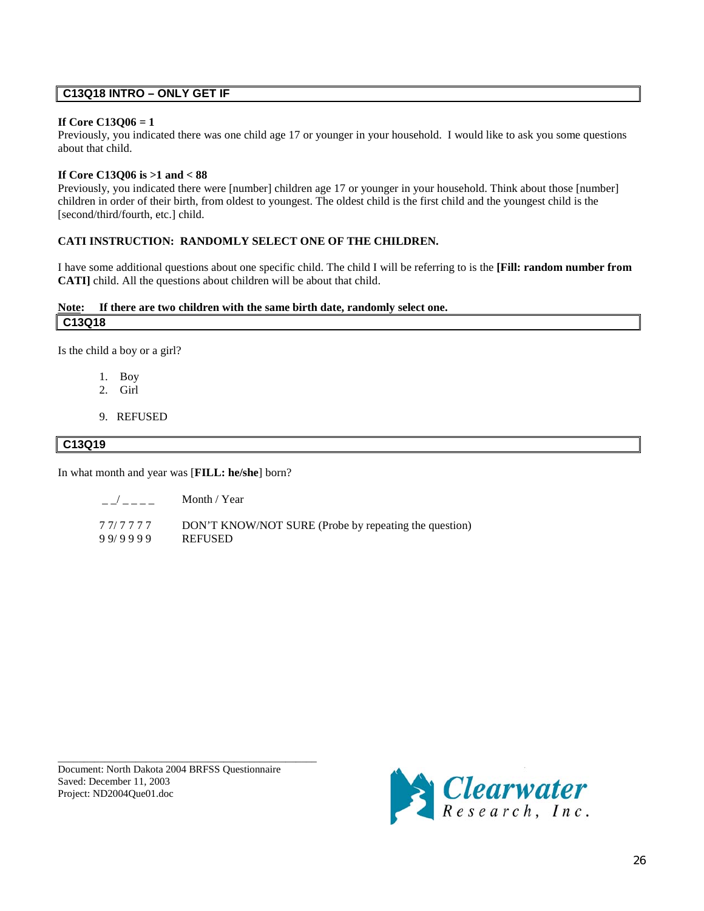## **C13Q18 INTRO – ONLY GET IF**

#### **If Core C13Q06 = 1**

Previously, you indicated there was one child age 17 or younger in your household. I would like to ask you some questions about that child.

#### **If Core C13Q06 is >1 and < 88**

Previously, you indicated there were [number] children age 17 or younger in your household. Think about those [number] children in order of their birth, from oldest to youngest. The oldest child is the first child and the youngest child is the [second/third/fourth, etc.] child.

### **CATI INSTRUCTION: RANDOMLY SELECT ONE OF THE CHILDREN.**

I have some additional questions about one specific child. The child I will be referring to is the **[Fill: random number from CATI]** child. All the questions about children will be about that child.

#### **Note C13Q18 : If there are two children with the same birth date, randomly select one.**

Is the child a boy or a girl?

- 1. Boy
- 2. Girl
- 9. REFUSED

### **C13Q19**

In what month and year was [**FILL: he/she**] born?

|         | Month / Year                                          |
|---------|-------------------------------------------------------|
| 77/7777 | DON'T KNOW/NOT SURE (Probe by repeating the question) |

9 9/ 9 9 9 9 REFUSED

Document: North Dakota 2004 BRFSS Questionnaire Saved: December 11, 2003 Project: ND2004Que01.doc

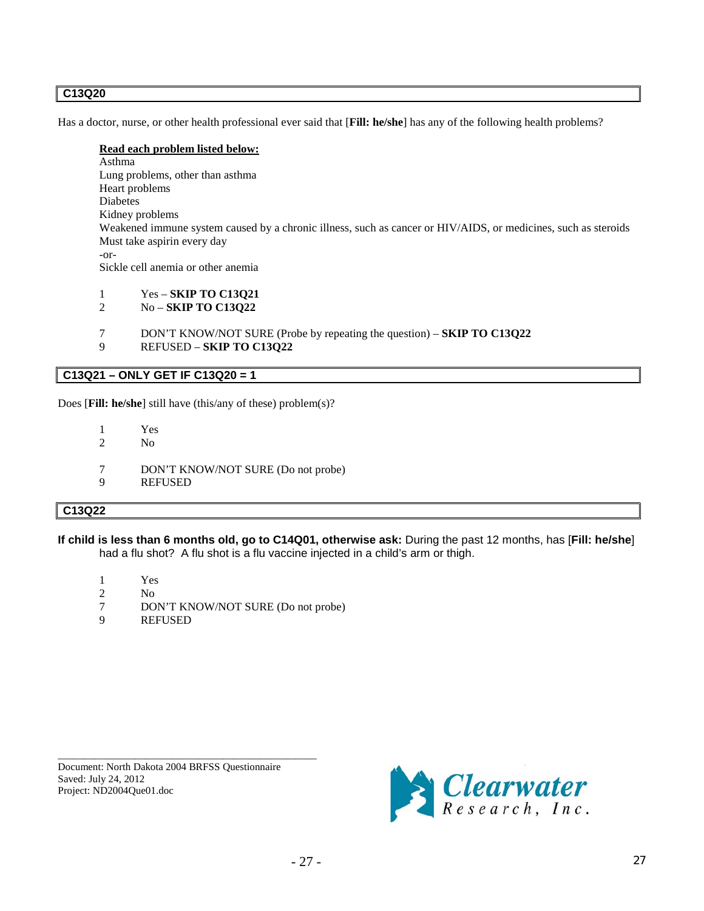### **C13Q20**

Has a doctor, nurse, or other health professional ever said that [**Fill: he/she**] has any of the following health problems?

#### **Read each problem listed below:**

Asthma Lung problems, other than asthma Heart problems Diabetes Kidney problems Weakened immune system caused by a chronic illness, such as cancer or HIV/AIDS, or medicines, such as steroids Must take aspirin every day -or-Sickle cell anemia or other anemia

- 1 Yes **SKIP TO C13Q21**
- 2 No **SKIP TO C13Q22**
- 7 DON'T KNOW/NOT SURE (Probe by repeating the question) **SKIP TO C13Q22**
- 9 REFUSED **SKIP TO C13Q22**

# **C13Q21 – ONLY GET IF C13Q20 = 1**

Does [**Fill: he/she**] still have (this/any of these) problem(s)?

- 1 Yes<br>2 No
- N<sub>o</sub>
- 7 DON'T KNOW/NOT SURE (Do not probe)
- 9 REFUSED

#### **C13Q22**

**If child is less than 6 months old, go to C14Q01, otherwise ask:** During the past 12 months, has [**Fill: he/she**] had a flu shot? A flu shot is a flu vaccine injected in a child's arm or thigh.

- 1 Yes
- 2 No<br>7 DO
- 7 DON'T KNOW/NOT SURE (Do not probe)<br>9 REFUSED
- **REFUSED**

Document: North Dakota 2004 BRFSS Questionnaire Saved: July 24, 2012 Project: ND2004Que01.doc

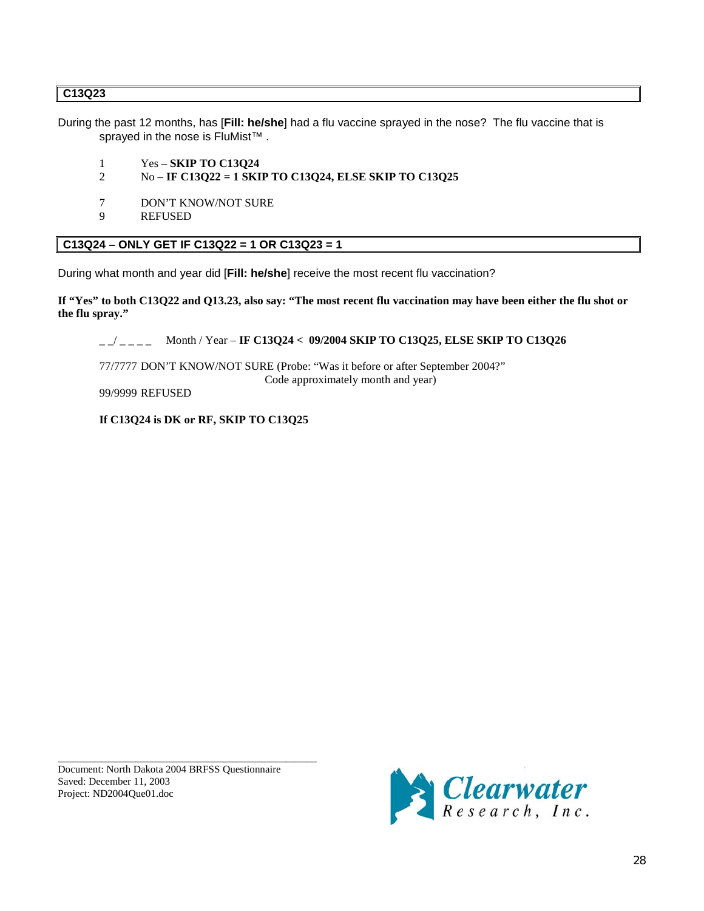## **C13Q23**

During the past 12 months, has [**Fill: he/she**] had a flu vaccine sprayed in the nose? The flu vaccine that is sprayed in the nose is FluMist<sup>™</sup>.

- 1 Yes **SKIP TO C13Q24**<br>2 No **IF C13O22 = 1 SKI**
- 2 No **IF C13Q22 = 1 SKIP TO C13Q24, ELSE SKIP TO C13Q25**
- 7 DON'T KNOW/NOT SURE
- 9 REFUSED

# **C13Q24 – ONLY GET IF C13Q22 = 1 OR C13Q23 = 1**

During what month and year did [**Fill: he/she**] receive the most recent flu vaccination?

**If "Yes" to both C13Q22 and Q13.23, also say: "The most recent flu vaccination may have been either the flu shot or the flu spray."**

\_ \_/ \_ \_ \_ \_ Month / Year – **IF C13Q24 < 09/2004 SKIP TO C13Q25, ELSE SKIP TO C13Q26**

77/7777 DON'T KNOW/NOT SURE (Probe: "Was it before or after September 2004?" Code approximately month and year)

#### 99/9999 REFUSED

**If C13Q24 is DK or RF, SKIP TO C13Q25**

\_\_\_\_\_\_\_\_\_\_\_\_\_\_\_\_\_\_\_\_\_\_\_\_\_\_\_\_\_\_\_\_\_\_\_\_\_\_\_\_\_\_\_\_\_\_\_\_\_\_ Document: North Dakota 2004 BRFSS Questionnaire Saved: December 11, 2003 Project: ND2004Que01.doc

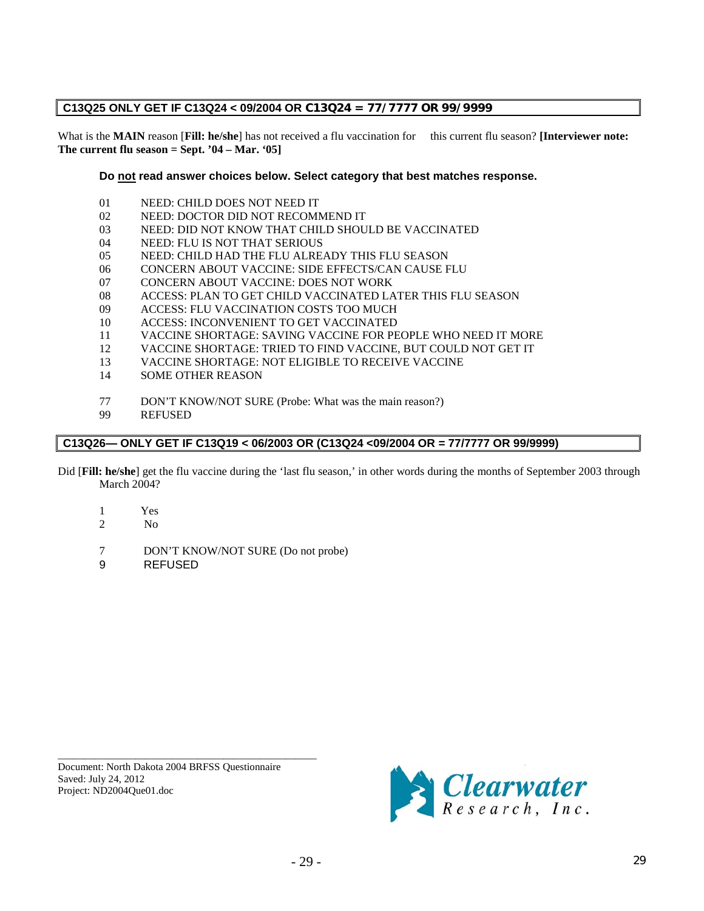# **C13Q25 ONLY GET IF C13Q24 < 09/2004 OR C13Q24 = 77/7777 OR 99/9999**

What is the **MAIN** reason [**Fill: he/she**] has not received a flu vaccination for this current flu season? **[Interviewer note: The current flu season = Sept. '04 – Mar. '05]**

### **Do not read answer choices below. Select category that best matches response.**

- 01 NEED: CHILD DOES NOT NEED IT<br>02 NEED: DOCTOR DID NOT RECOME
- 02 NEED: DOCTOR DID NOT RECOMMEND IT
- 03 NEED: DID NOT KNOW THAT CHILD SHOULD BE VACCINATED
- 04 NEED: FLU IS NOT THAT SERIOUS
- 05 NEED: CHILD HAD THE FLU ALREADY THIS FLU SEASON
- 06 CONCERN ABOUT VACCINE: SIDE EFFECTS/CAN CAUSE FLU
- 07 CONCERN ABOUT VACCINE: DOES NOT WORK
- 08 ACCESS: PLAN TO GET CHILD VACCINATED LATER THIS FLU SEASON
- 09 ACCESS: FLU VACCINATION COSTS TOO MUCH
- 10 ACCESS: INCONVENIENT TO GET VACCINATED<br>11 VACCINE SHORTAGE: SAVING VACCINE FOR PE
- 11 VACCINE SHORTAGE: SAVING VACCINE FOR PEOPLE WHO NEED IT MORE
- 12 VACCINE SHORTAGE: TRIED TO FIND VACCINE, BUT COULD NOT GET IT
- 13 VACCINE SHORTAGE: NOT ELIGIBLE TO RECEIVE VACCINE<br>14 SOME OTHER REASON
- SOME OTHER REASON
- 77 DON'T KNOW/NOT SURE (Probe: What was the main reason?)<br>99 REFUSED
- **REFUSED**

# **C13Q26— ONLY GET IF C13Q19 < 06/2003 OR (C13Q24 <09/2004 OR = 77/7777 OR 99/9999)**

- Did [**Fill: he/she**] get the flu vaccine during the 'last flu season,' in other words during the months of September 2003 through March 2004?
	- 1 Yes
	- 2 No
	- 7 DON'T KNOW/NOT SURE (Do not probe)
	- 9 REFUSED

Document: North Dakota 2004 BRFSS Questionnaire Saved: July 24, 2012 Project: ND2004Que01.doc

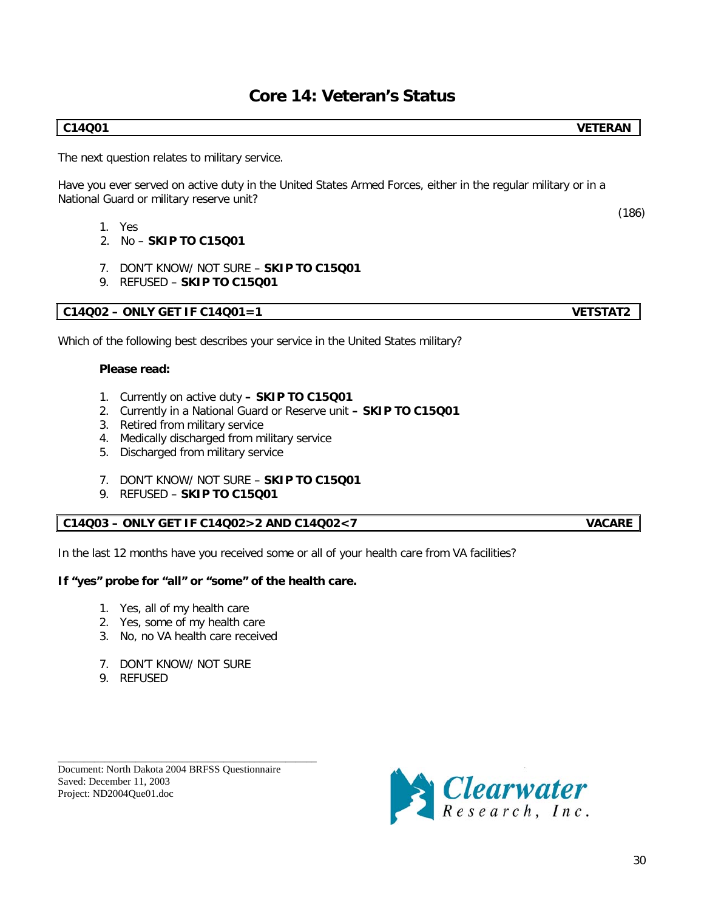# **Core 14: Veteran's Status**

### **C14Q01 VETERAN**

The next question relates to military service.

Have you ever served on active duty in the United States Armed Forces, either in the regular military or in a National Guard or military reserve unit?

- 1. Yes
- 2. No **SKIP TO C15Q01**
- 7. DON'T KNOW/ NOT SURE **SKIP TO C15Q01**
- 9. REFUSED **SKIP TO C15Q01**

## **C14Q02 – ONLY GET IF C14Q01=1 VETSTAT2**

Which of the following best describes your service in the United States military?

### **Please read:**

- 1. Currently on active duty **– SKIP TO C15Q01**
- 2. Currently in a National Guard or Reserve unit **– SKIP TO C15Q01**
- 3. Retired from military service
- 4. Medically discharged from military service
- 5. Discharged from military service
- 7. DON'T KNOW/ NOT SURE **SKIP TO C15Q01**
- 9. REFUSED **SKIP TO C15Q01**

## **C14Q03 – ONLY GET IF C14Q02>2 AND C14Q02<7 VACARE**

In the last 12 months have you received some or all of your health care from VA facilities?

## **If "yes" probe for "all" or "some" of the health care.**

- 1. Yes, all of my health care
- 2. Yes, some of my health care
- 3. No, no VA health care received
- 7. DON'T KNOW/ NOT SURE
- 9. REFUSED

\_\_\_\_\_\_\_\_\_\_\_\_\_\_\_\_\_\_\_\_\_\_\_\_\_\_\_\_\_\_\_\_\_\_\_\_\_\_\_\_\_\_\_\_\_\_\_\_\_\_ Document: North Dakota 2004 BRFSS Questionnaire Saved: December 11, 2003 Project: ND2004Que01.doc



(186)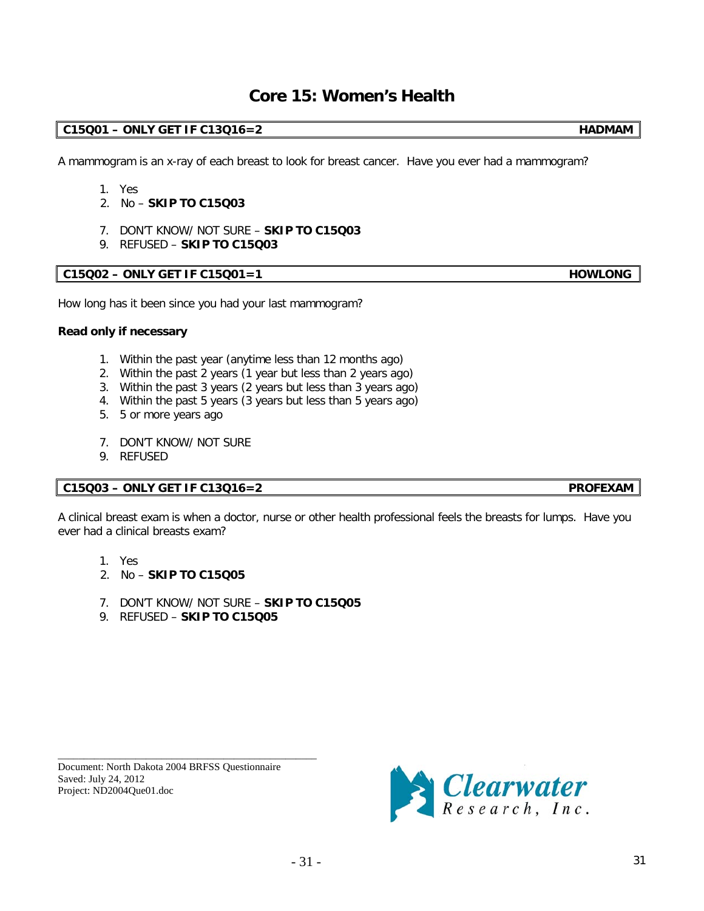# **Core 15: Women's Health**

# **C15Q01 – ONLY GET IF C13Q16=2 HADMAM**

A mammogram is an x-ray of each breast to look for breast cancer. Have you ever had a mammogram?

- 1. Yes
- 2. No **SKIP TO C15Q03**
- 7. DON'T KNOW/ NOT SURE **SKIP TO C15Q03**
- 9. REFUSED **SKIP TO C15Q03**

## **C15Q02 – ONLY GET IF C15Q01=1 HOWLONG**

How long has it been since you had your last mammogram?

#### **Read only if necessary**

- 1. Within the past year (anytime less than 12 months ago)
- 2. Within the past 2 years (1 year but less than 2 years ago)
- 3. Within the past 3 years (2 years but less than 3 years ago)
- 4. Within the past 5 years (3 years but less than 5 years ago)
- 5. 5 or more years ago
- 7. DON'T KNOW/ NOT SURE
- 9. REFUSED

## **C15Q03 – ONLY GET IF C13Q16=2 PROFEXAM**

A clinical breast exam is when a doctor, nurse or other health professional feels the breasts for lumps. Have you ever had a clinical breasts exam?

- 1. Yes
- 2. No **SKIP TO C15Q05**
- 7. DON'T KNOW/ NOT SURE **SKIP TO C15Q05**
- 9. REFUSED **SKIP TO C15Q05**

Document: North Dakota 2004 BRFSS Questionnaire Saved: July 24, 2012 Project: ND2004Que01.doc

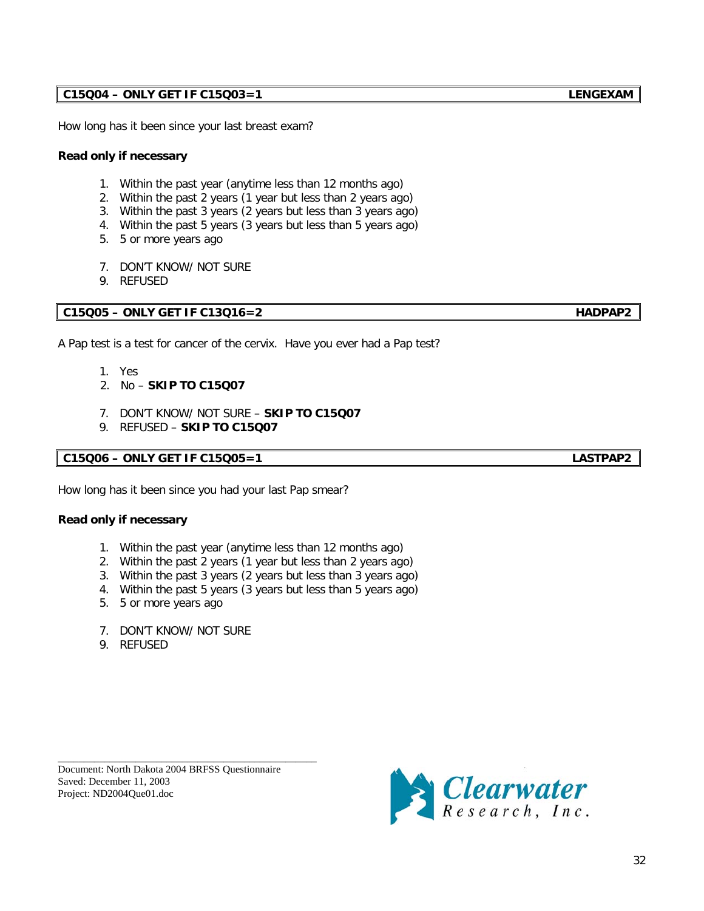32

# **C15Q04 – ONLY GET IF C15Q03=1 LENGEXAM**

How long has it been since your last breast exam?

### **Read only if necessary**

- 1. Within the past year (anytime less than 12 months ago)
- 2. Within the past 2 years (1 year but less than 2 years ago)
- 3. Within the past 3 years (2 years but less than 3 years ago)
- 4. Within the past 5 years (3 years but less than 5 years ago)
- 5. 5 or more years ago
- 7. DON'T KNOW/ NOT SURE
- 9. REFUSED

# **C15Q05 – ONLY GET IF C13Q16=2 HADPAP2**

A Pap test is a test for cancer of the cervix. Have you ever had a Pap test?

- 1. Yes
- 2. No **SKIP TO C15Q07**
- 7. DON'T KNOW/ NOT SURE **SKIP TO C15Q07**
- 9. REFUSED **SKIP TO C15Q07**

# **C15Q06 – ONLY GET IF C15Q05=1 LASTPAP2**

How long has it been since you had your last Pap smear?

## **Read only if necessary**

- 1. Within the past year (anytime less than 12 months ago)
- 2. Within the past 2 years (1 year but less than 2 years ago)
- 3. Within the past 3 years (2 years but less than 3 years ago)
- 4. Within the past 5 years (3 years but less than 5 years ago)
- 5. 5 or more years ago
- 7. DON'T KNOW/ NOT SURE
- 9. REFUSED



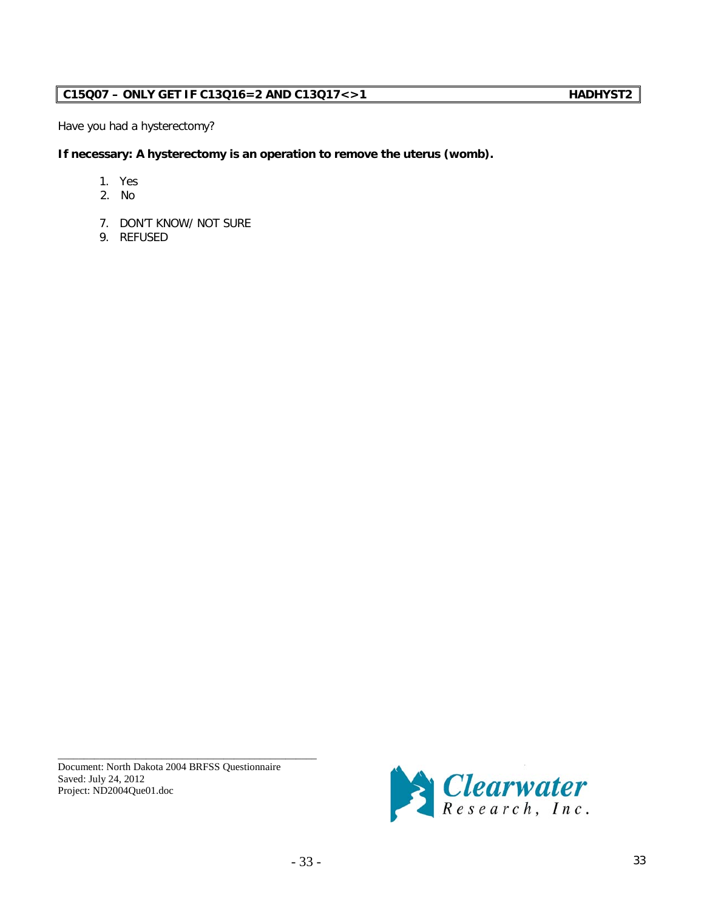# **C15Q07 – ONLY GET IF C13Q16=2 AND C13Q17<>1 HADHYST2**

Have you had a hysterectomy?

**If necessary: A hysterectomy is an operation to remove the uterus (womb).**

- 1. Yes
- 2. No
- 7. DON'T KNOW/ NOT SURE
- 9. REFUSED

Document: North Dakota 2004 BRFSS Questionnaire Saved: July 24, 2012 Project: ND2004Que01.doc

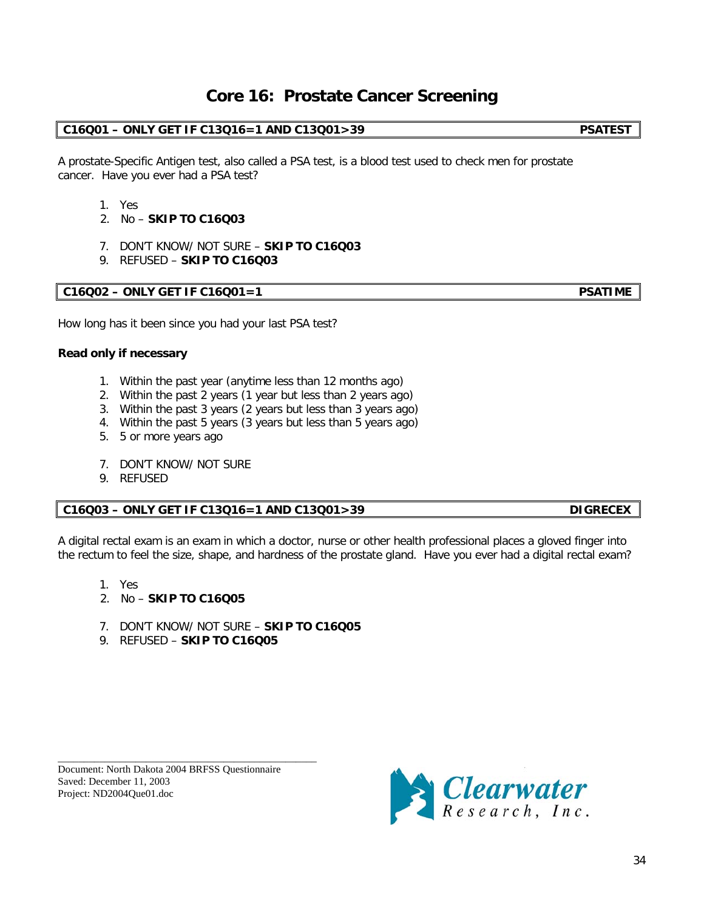# **Core 16: Prostate Cancer Screening**

# **C16Q01 – ONLY GET IF C13Q16=1 AND C13Q01>39 PSATEST**

A prostate-Specific Antigen test, also called a PSA test, is a blood test used to check men for prostate cancer. Have you ever had a PSA test?

- 1. Yes
- 2. No **SKIP TO C16Q03**
- 7. DON'T KNOW/ NOT SURE **SKIP TO C16Q03**
- 9. REFUSED **SKIP TO C16Q03**

## **C16Q02 – ONLY GET IF C16Q01=1 PSATIME**

How long has it been since you had your last PSA test?

### **Read only if necessary**

- 1. Within the past year (anytime less than 12 months ago)
- 2. Within the past 2 years (1 year but less than 2 years ago)
- 3. Within the past 3 years (2 years but less than 3 years ago)
- 4. Within the past 5 years (3 years but less than 5 years ago)
- 5. 5 or more years ago
- 7. DON'T KNOW/ NOT SURE
- 9. REFUSED

## **C16Q03 – ONLY GET IF C13Q16=1 AND C13Q01>39 DIGRECEX**

A digital rectal exam is an exam in which a doctor, nurse or other health professional places a gloved finger into the rectum to feel the size, shape, and hardness of the prostate gland. Have you ever had a digital rectal exam?

- 1. Yes
- 2. No **SKIP TO C16Q05**
- 7. DON'T KNOW/ NOT SURE **SKIP TO C16Q05**
- 9. REFUSED **SKIP TO C16Q05**



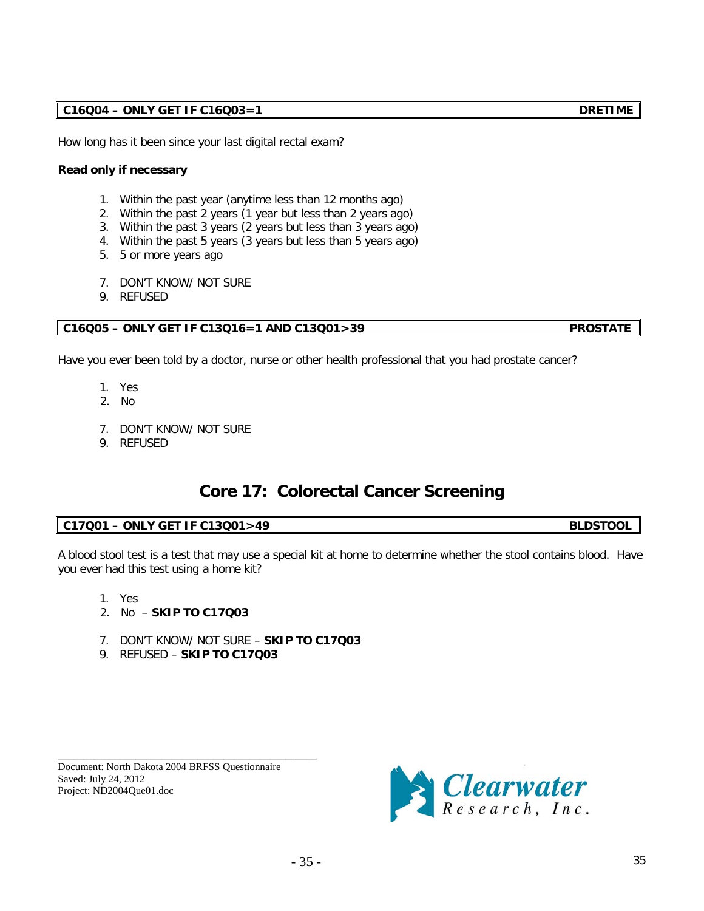How long has it been since your last digital rectal exam?

# **Read only if necessary**

- 1. Within the past year (anytime less than 12 months ago)
- 2. Within the past 2 years (1 year but less than 2 years ago)
- 3. Within the past 3 years (2 years but less than 3 years ago)
- 4. Within the past 5 years (3 years but less than 5 years ago)
- 5. 5 or more years ago
- 7. DON'T KNOW/ NOT SURE
- 9. REFUSED

# **C16Q05 – ONLY GET IF C13Q16=1 AND C13Q01>39 PROSTATE**

Have you ever been told by a doctor, nurse or other health professional that you had prostate cancer?

- 1. Yes
- 2. No
- 7. DON'T KNOW/ NOT SURE
- 9. REFUSED

# **Core 17: Colorectal Cancer Screening**

# **C17Q01 – ONLY GET IF C13Q01>49 BLDSTOOL**

A blood stool test is a test that may use a special kit at home to determine whether the stool contains blood. Have you ever had this test using a home kit?

- 1. Yes
- 2. No **SKIP TO C17Q03**
- 7. DON'T KNOW/ NOT SURE **SKIP TO C17Q03**
- 9. REFUSED **SKIP TO C17Q03**

\_\_\_\_\_\_\_\_\_\_\_\_\_\_\_\_\_\_\_\_\_\_\_\_\_\_\_\_\_\_\_\_\_\_\_\_\_\_\_\_\_\_\_\_\_\_\_\_\_\_ Document: North Dakota 2004 BRFSS Questionnaire Saved: July 24, 2012 Project: ND2004Que01.doc

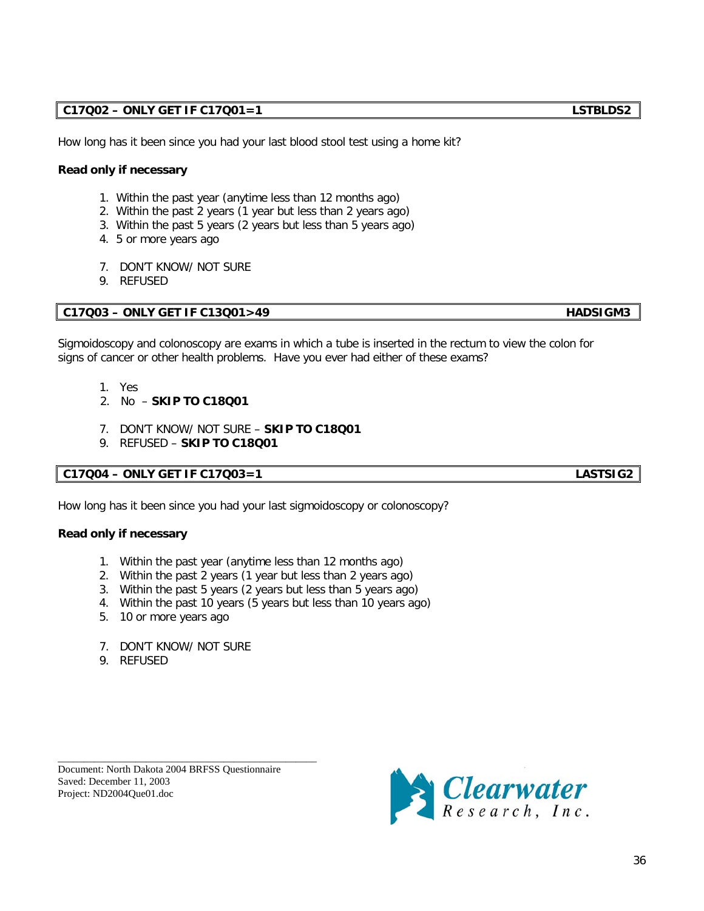# **C17Q02 – ONLY GET IF C17Q01=1 LSTBLDS2**

How long has it been since you had your last blood stool test using a home kit?

# **Read only if necessary**

- 1. Within the past year (anytime less than 12 months ago)
- 2. Within the past 2 years (1 year but less than 2 years ago)
- 3. Within the past 5 years (2 years but less than 5 years ago)
- 4. 5 or more years ago
- 7. DON'T KNOW/ NOT SURE
- 9. REFUSED

# **C17Q03 – ONLY GET IF C13Q01>49 HADSIGM3**

Sigmoidoscopy and colonoscopy are exams in which a tube is inserted in the rectum to view the colon for signs of cancer or other health problems. Have you ever had either of these exams?

- 1. Yes
- 2. No **SKIP TO C18Q01**
- 7. DON'T KNOW/ NOT SURE **SKIP TO C18Q01**
- 9. REFUSED **SKIP TO C18Q01**

# **C17Q04 – ONLY GET IF C17Q03=1 LASTSIG2**

How long has it been since you had your last sigmoidoscopy or colonoscopy?

## **Read only if necessary**

- 1. Within the past year (anytime less than 12 months ago)
- 2. Within the past 2 years (1 year but less than 2 years ago)
- 3. Within the past 5 years (2 years but less than 5 years ago)
- 4. Within the past 10 years (5 years but less than 10 years ago)
- 5. 10 or more years ago
- 7. DON'T KNOW/ NOT SURE
- 9. REFUSED

Document: North Dakota 2004 BRFSS Questionnaire Saved: December 11, 2003 Project: ND2004Que01.doc

\_\_\_\_\_\_\_\_\_\_\_\_\_\_\_\_\_\_\_\_\_\_\_\_\_\_\_\_\_\_\_\_\_\_\_\_\_\_\_\_\_\_\_\_\_\_\_\_\_\_



36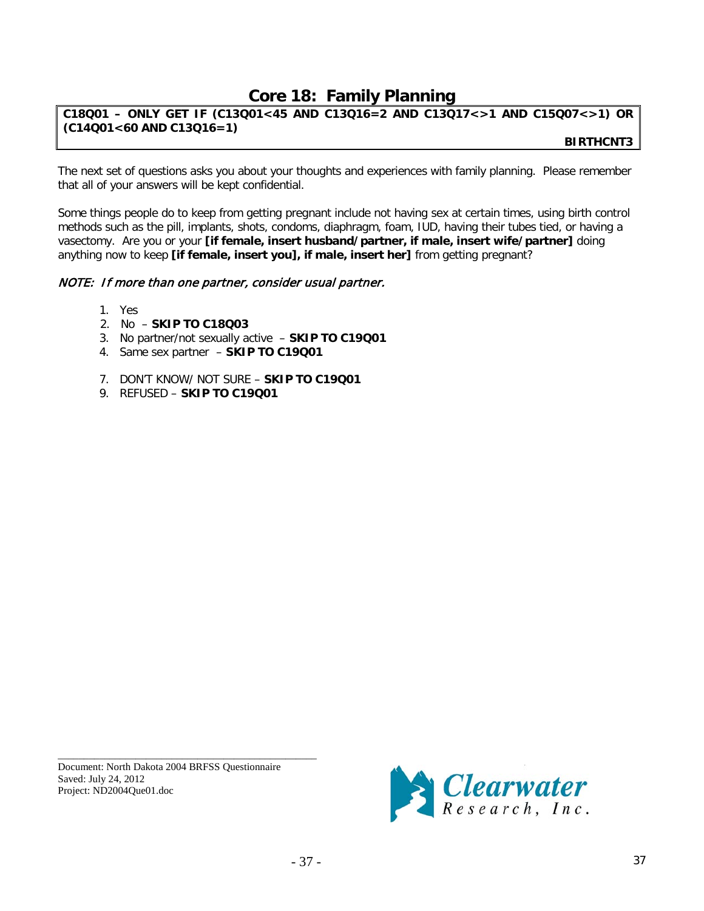# **Core 18: Family Planning**

# **C18Q01 – ONLY GET IF (C13Q01<45 AND C13Q16=2 AND C13Q17<>1 AND C15Q07<>1) OR (C14Q01<60 AND C13Q16=1)**

 **BIRTHCNT3**

The next set of questions asks you about your thoughts and experiences with family planning. Please remember that all of your answers will be kept confidential.

Some things people do to keep from getting pregnant include not having sex at certain times, using birth control methods such as the pill, implants, shots, condoms, diaphragm, foam, IUD, having their tubes tied, or having a vasectomy. Are you or your **[if female, insert husband/partner, if male, insert wife/partner]** doing anything now to keep **[if female, insert you], if male, insert her]** from getting pregnant?

# NOTE: If more than one partner, consider usual partner.

- 1. Yes
- 2. No **SKIP TO C18Q03**
- 3. No partner/not sexually active **SKIP TO C19Q01**
- 4. Same sex partner **SKIP TO C19Q01**
- 7. DON'T KNOW/ NOT SURE **SKIP TO C19Q01**
- 9. REFUSED **SKIP TO C19Q01**

Document: North Dakota 2004 BRFSS Questionnaire Saved: July 24, 2012 Project: ND2004Que01.doc

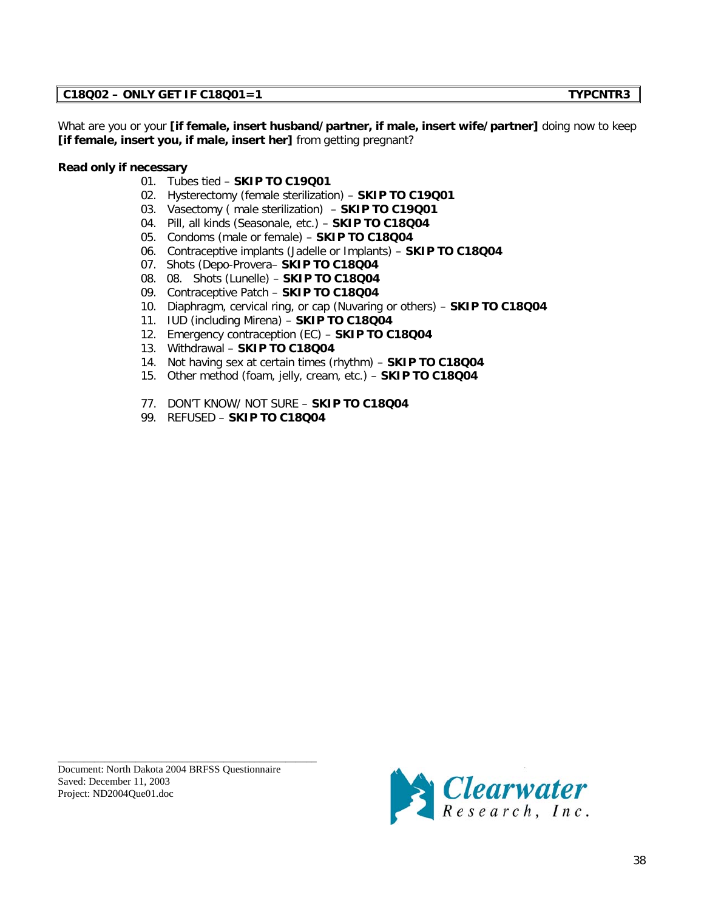# **C18Q02 – ONLY GET IF C18Q01=1 TYPCNTR3**

What are you or your **[if female, insert husband/partner, if male, insert wife/partner]** doing now to keep **[if female, insert you, if male, insert her]** from getting pregnant?

## **Read only if necessary**

- 01. Tubes tied **SKIP TO C19Q01**
- 02. Hysterectomy (female sterilization) **SKIP TO C19Q01**
- 03. Vasectomy ( male sterilization) **SKIP TO C19Q01**
- 04. Pill, all kinds (Seasonale, etc.) **SKIP TO C18Q04**
- 05. Condoms (male or female) **SKIP TO C18Q04**
- 06. Contraceptive implants (Jadelle or Implants) **SKIP TO C18Q04**
- 07. Shots (Depo-Provera– **SKIP TO C18Q04**
- 08. 08. Shots (Lunelle) **SKIP TO C18Q04**
- 09. Contraceptive Patch **SKIP TO C18Q04**
- 10. Diaphragm, cervical ring, or cap (Nuvaring or others) **SKIP TO C18Q04**
- 11. IUD (including Mirena) **SKIP TO C18Q04**
- 12. Emergency contraception (EC) **SKIP TO C18Q04**
- 13. Withdrawal **SKIP TO C18Q04**
- 14. Not having sex at certain times (rhythm) **SKIP TO C18Q04**
- 15. Other method (foam, jelly, cream, etc.) **SKIP TO C18Q04**
- 77. DON'T KNOW/ NOT SURE **SKIP TO C18Q04**
- 99. REFUSED **SKIP TO C18Q04**

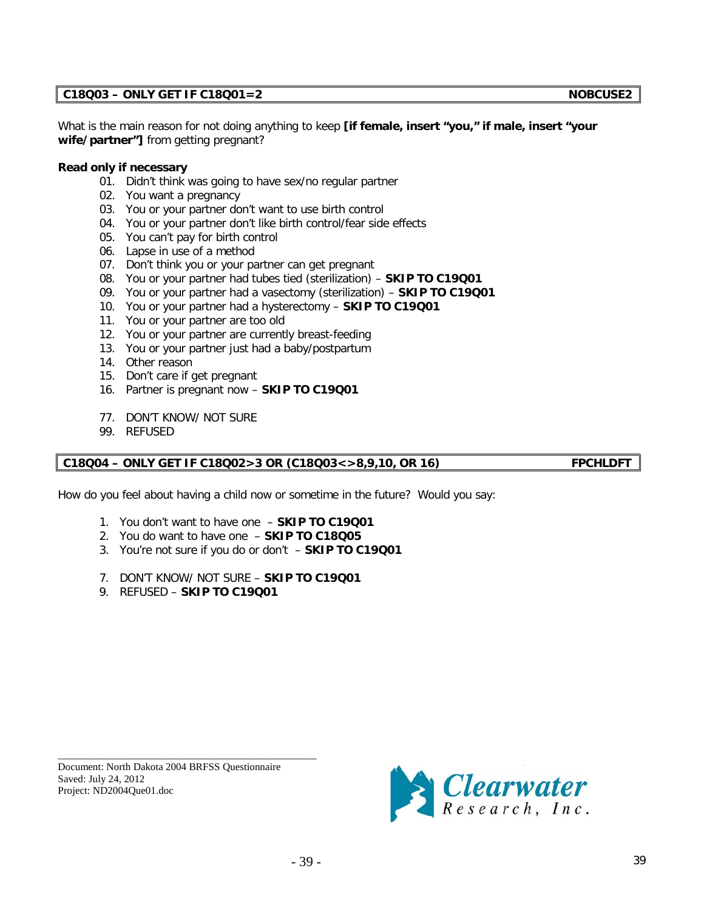## **C18Q03 – ONLY GET IF C18Q01=2 NOBCUSE2**

What is the main reason for not doing anything to keep **[if female, insert "you," if male, insert "your wife/partner"]** from getting pregnant?

#### **Read only if necessary**

- 01. Didn't think was going to have sex/no regular partner
- 02. You want a pregnancy
- 03. You or your partner don't want to use birth control
- 04. You or your partner don't like birth control/fear side effects
- 05. You can't pay for birth control
- 06. Lapse in use of a method
- 07. Don't think you or your partner can get pregnant
- 08. You or your partner had tubes tied (sterilization) **SKIP TO C19Q01**
- 09. You or your partner had a vasectomy (sterilization) **SKIP TO C19Q01**
- 10. You or your partner had a hysterectomy **SKIP TO C19Q01**
- 11. You or your partner are too old
- 12. You or your partner are currently breast-feeding
- 13. You or your partner just had a baby/postpartum
- 14. Other reason
- 15. Don't care if get pregnant
- 16. Partner is pregnant now **SKIP TO C19Q01**
- 77. DON'T KNOW/ NOT SURE
- 99. REFUSED

#### **C18Q04 – ONLY GET IF C18Q02>3 OR (C18Q03<>8,9,10, OR 16) FPCHLDFT**

How do you feel about having a child now or sometime in the future? Would you say:

- 1. You don't want to have one **SKIP TO C19Q01**
- 2. You do want to have one **SKIP TO C18Q05**
- 3. You're not sure if you do or don't **SKIP TO C19Q01**
- 7. DON'T KNOW/ NOT SURE **SKIP TO C19Q01**
- 9. REFUSED **SKIP TO C19Q01**

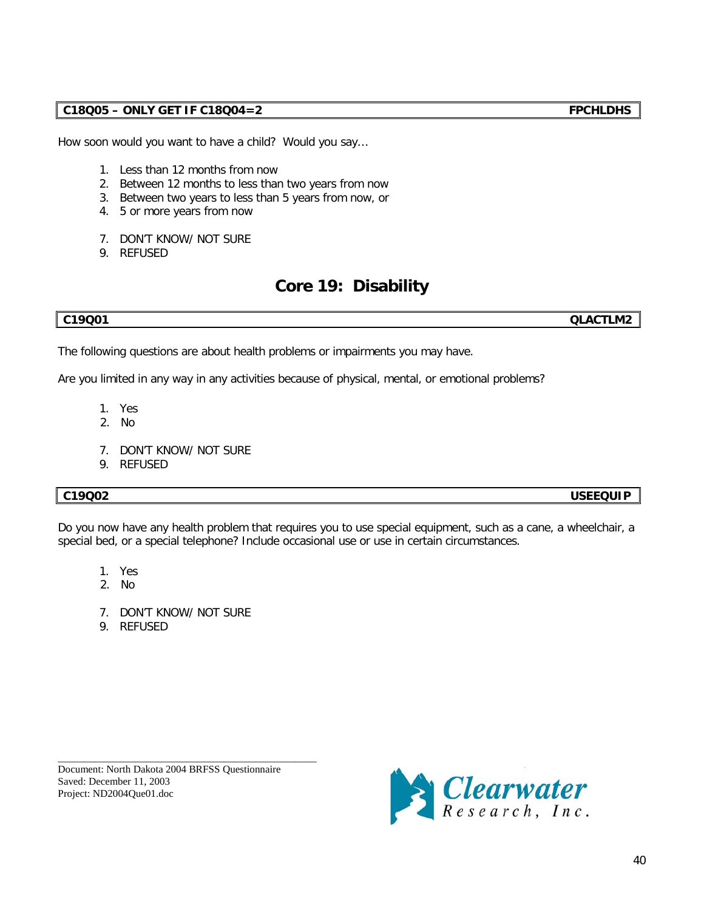How soon would you want to have a child? Would you say…

- 1. Less than 12 months from now
- 2. Between 12 months to less than two years from now
- 3. Between two years to less than 5 years from now, or
- 4. 5 or more years from now
- 7. DON'T KNOW/ NOT SURE
- 9. REFUSED

# **Core 19: Disability**

**C19Q01 QLACTLM2**

The following questions are about health problems or impairments you may have.

Are you limited in any way in any activities because of physical, mental, or emotional problems?

- 1. Yes
- 2. No
- 7. DON'T KNOW/ NOT SURE
- 9. REFUSED

# **C19Q02 USEEQUIP**

Do you now have any health problem that requires you to use special equipment, such as a cane, a wheelchair, a special bed, or a special telephone? Include occasional use or use in certain circumstances.

- 1. Yes
- 2. No
- 7. DON'T KNOW/ NOT SURE
- 9. REFUSED

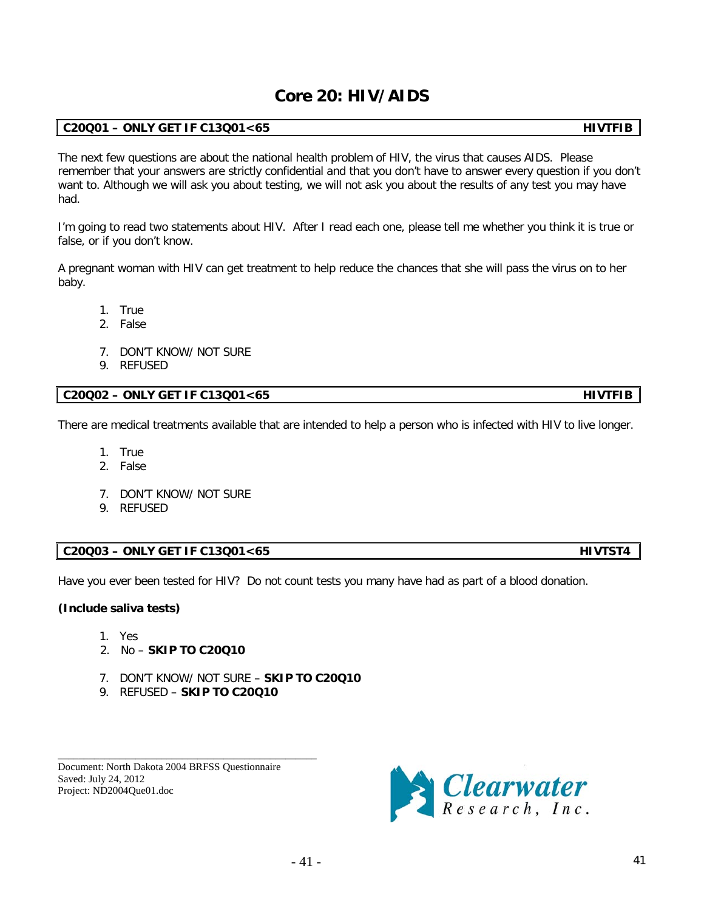# **Core 20: HIV/AIDS**

# **C20Q01 – ONLY GET IF C13Q01<65 HIVTFIB**

The next few questions are about the national health problem of HIV, the virus that causes AIDS. Please remember that your answers are strictly confidential and that you don't have to answer every question if you don't want to. Although we will ask you about testing, we will not ask you about the results of any test you may have had.

I'm going to read two statements about HIV. After I read each one, please tell me whether you think it is true or false, or if you don't know.

A pregnant woman with HIV can get treatment to help reduce the chances that she will pass the virus on to her baby.

- 1. True
- 2. False
- 7. DON'T KNOW/ NOT SURE
- 9. REFUSED

# **C20Q02 – ONLY GET IF C13Q01<65 HIVTFIB**

There are medical treatments available that are intended to help a person who is infected with HIV to live longer.

- 1. True
- 2. False
- 7. DON'T KNOW/ NOT SURE
- 9. REFUSED

# **C20Q03 – ONLY GET IF C13Q01<65 HIVTST4**

Have you ever been tested for HIV? Do not count tests you many have had as part of a blood donation.

# **(Include saliva tests)**

- 1. Yes
- 2. No **SKIP TO C20Q10**
- 7. DON'T KNOW/ NOT SURE **SKIP TO C20Q10**
- 9. REFUSED **SKIP TO C20Q10**

\_\_\_\_\_\_\_\_\_\_\_\_\_\_\_\_\_\_\_\_\_\_\_\_\_\_\_\_\_\_\_\_\_\_\_\_\_\_\_\_\_\_\_\_\_\_\_\_\_\_

Document: North Dakota 2004 BRFSS Questionnaire Saved: July 24, 2012 Project: ND2004Que01.doc

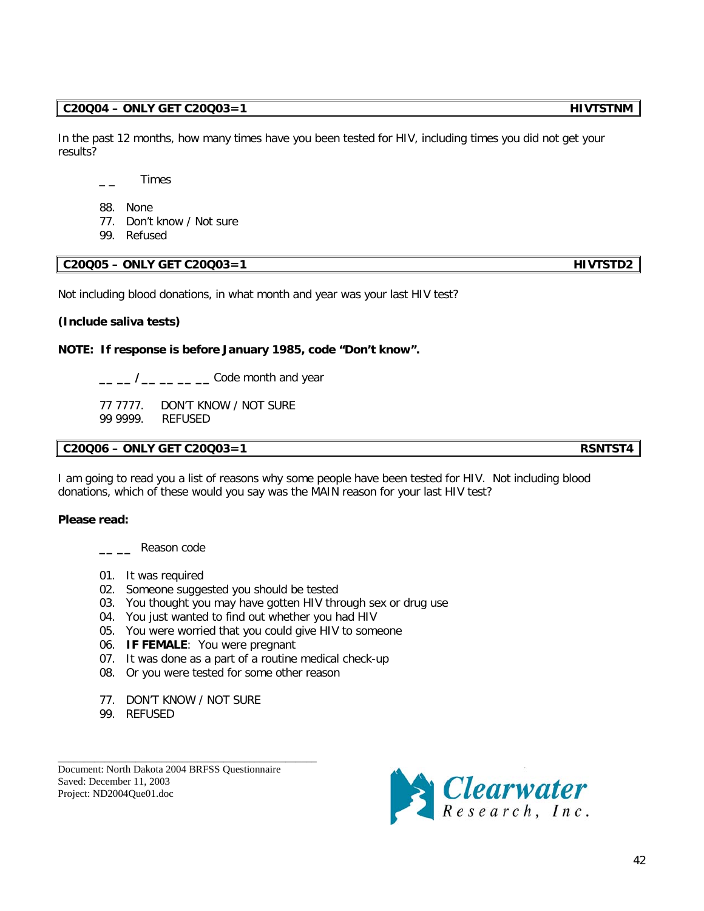### **C20Q04 – ONLY GET C20Q03=1 HIVTSTNM**

In the past 12 months, how many times have you been tested for HIV, including times you did not get your results?

 $\overline{\phantom{a}}$   $\overline{\phantom{a}}$   $\overline{\phantom{a}}$   $\overline{\phantom{a}}$   $\overline{\phantom{a}}$   $\overline{\phantom{a}}$   $\overline{\phantom{a}}$   $\overline{\phantom{a}}$   $\overline{\phantom{a}}$   $\overline{\phantom{a}}$   $\overline{\phantom{a}}$   $\overline{\phantom{a}}$   $\overline{\phantom{a}}$   $\overline{\phantom{a}}$   $\overline{\phantom{a}}$   $\overline{\phantom{a}}$   $\overline{\phantom{a}}$   $\overline{\phantom{a}}$   $\overline{\$ 

- 88. None
- 77. Don't know / Not sure
- 99. Refused

# **C20Q05 – ONLY GET C20Q03=1 HIVTSTD2**

Not including blood donations, in what month and year was your last HIV test?

#### **(Include saliva tests)**

**NOTE: If response is before January 1985, code "Don't know".**

**\_\_ \_\_ /\_\_ \_\_ \_\_ \_\_** Code month and year

77 7777.DON'T KNOW / NOT SURE 99 9999. REFUSED

## **C20Q06 – ONLY GET C20Q03=1 RSNTST4**

I am going to read you a list of reasons why some people have been tested for HIV. Not including blood donations, which of these would you say was the MAIN reason for your last HIV test?

### **Please read:**

- **\_\_ \_\_** Reason code
- 01. It was required
- 02. Someone suggested you should be tested
- 03. You thought you may have gotten HIV through sex or drug use
- 04. You just wanted to find out whether you had HIV
- 05. You were worried that you could give HIV to someone
- 06. **IF FEMALE**: You were pregnant
- 07. It was done as a part of a routine medical check-up
- 08. Or you were tested for some other reason
- 77. DON'T KNOW / NOT SURE

\_\_\_\_\_\_\_\_\_\_\_\_\_\_\_\_\_\_\_\_\_\_\_\_\_\_\_\_\_\_\_\_\_\_\_\_\_\_\_\_\_\_\_\_\_\_\_\_\_\_

99. REFUSED

Document: North Dakota 2004 BRFSS Questionnaire Saved: December 11, 2003 Project: ND2004Que01.doc

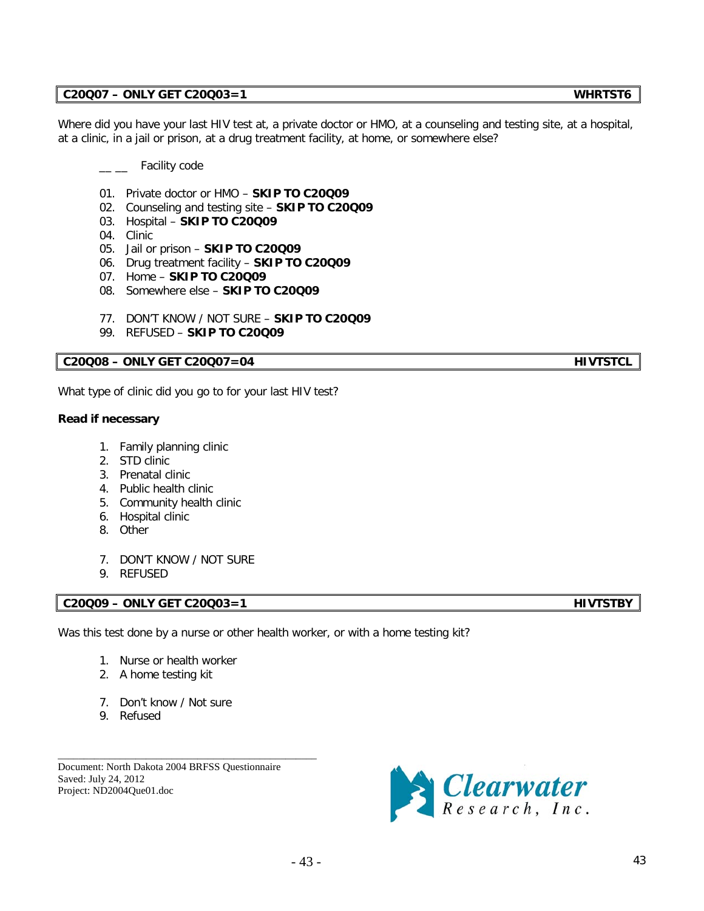### **C20Q07 – ONLY GET C20Q03=1 WHRTST6**

Where did you have your last HIV test at, a private doctor or HMO, at a counseling and testing site, at a hospital, at a clinic, in a jail or prison, at a drug treatment facility, at home, or somewhere else?

#### Facility code

- 01. Private doctor or HMO **SKIP TO C20Q09**
- 02. Counseling and testing site **SKIP TO C20Q09**
- 03. Hospital **SKIP TO C20Q09**
- 04. Clinic
- 05. Jail or prison **SKIP TO C20Q09**
- 06. Drug treatment facility **SKIP TO C20Q09**
- 07. Home **SKIP TO C20Q09**
- 08. Somewhere else **SKIP TO C20Q09**
- 77. DON'T KNOW / NOT SURE **SKIP TO C20Q09**
- 99. REFUSED **SKIP TO C20Q09**

#### **C20Q08 – ONLY GET C20Q07=04 HIVTSTCL**

What type of clinic did you go to for your last HIV test?

#### **Read if necessary**

- 1. Family planning clinic
- 2. STD clinic
- 3. Prenatal clinic
- 4. Public health clinic
- 5. Community health clinic
- 6. Hospital clinic
- 8. Other
- 7. DON'T KNOW / NOT SURE
- 9. REFUSED

## **C20Q09 – ONLY GET C20Q03=1 HIVTSTBY**

Was this test done by a nurse or other health worker, or with a home testing kit?

- 1. Nurse or health worker
- 2. A home testing kit
- 7. Don't know / Not sure
- 9. Refused

Document: North Dakota 2004 BRFSS Questionnaire Saved: July 24, 2012 Project: ND2004Que01.doc

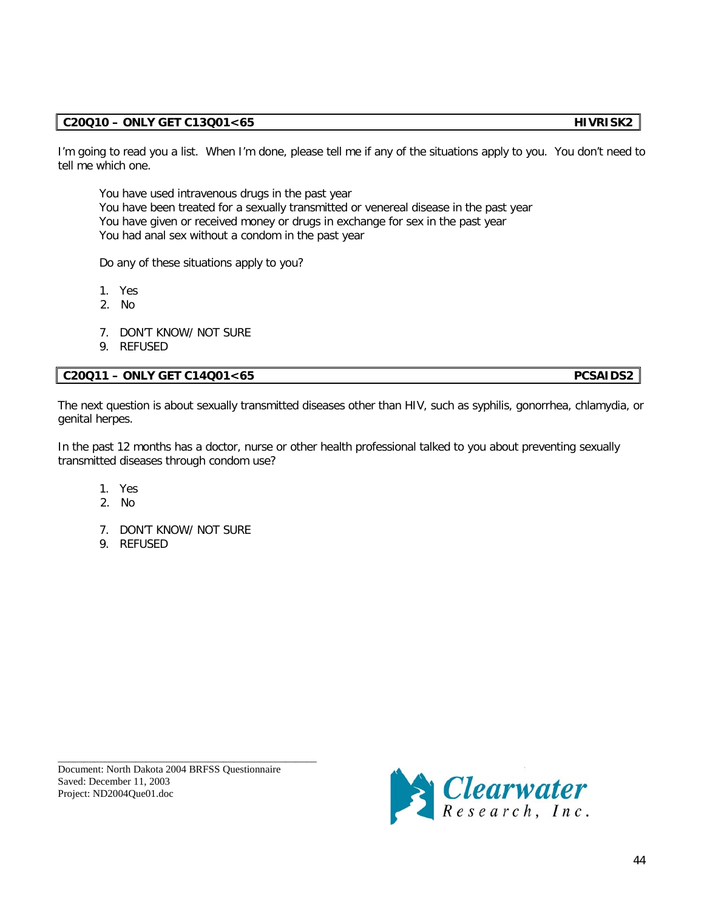# **C20Q10 – ONLY GET C13Q01<65 HIVRISK2**

I'm going to read you a list. When I'm done, please tell me if any of the situations apply to you. You don't need to tell me which one.

You have used intravenous drugs in the past year You have been treated for a sexually transmitted or venereal disease in the past year You have given or received money or drugs in exchange for sex in the past year You had anal sex without a condom in the past year

Do any of these situations apply to you?

- 1. Yes
- 2. No
- 7. DON'T KNOW/ NOT SURE
- 9. REFUSED

## **C20Q11 – ONLY GET C14Q01<65 PCSAIDS2**

The next question is about sexually transmitted diseases other than HIV, such as syphilis, gonorrhea, chlamydia, or genital herpes.

In the past 12 months has a doctor, nurse or other health professional talked to you about preventing sexually transmitted diseases through condom use?

- 1. Yes
- 2. No
- 7. DON'T KNOW/ NOT SURE
- 9. REFUSED

Document: North Dakota 2004 BRFSS Questionnaire Saved: December 11, 2003 Project: ND2004Que01.doc



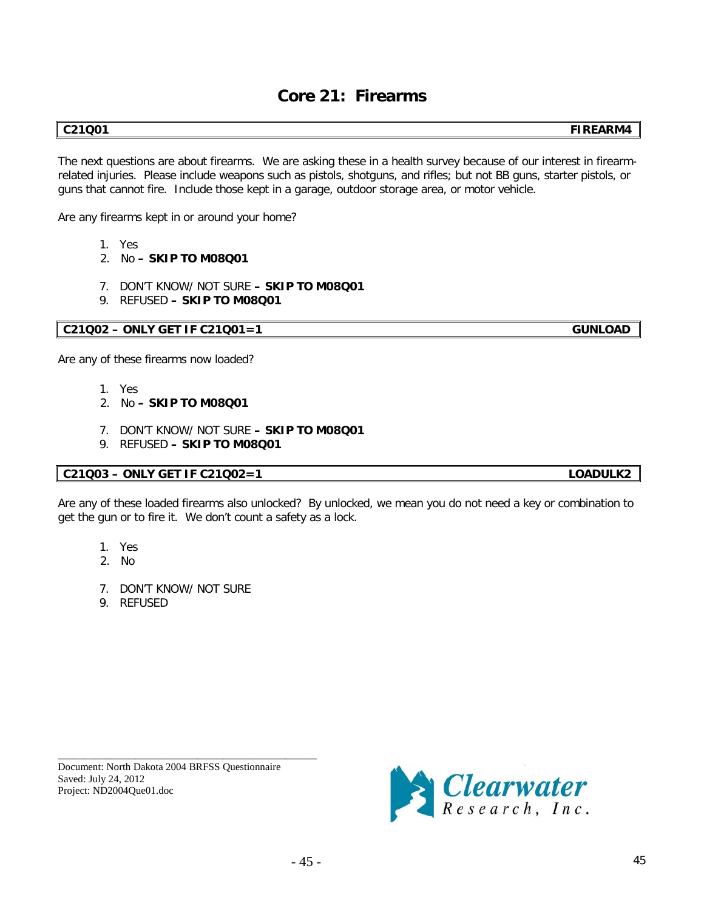# **Core 21: Firearms**

**C21Q01 FIREARM4**

The next questions are about firearms. We are asking these in a health survey because of our interest in firearmrelated injuries. Please include weapons such as pistols, shotguns, and rifles; but not BB guns, starter pistols, or guns that cannot fire. Include those kept in a garage, outdoor storage area, or motor vehicle.

Are any firearms kept in or around your home?

- 1. Yes
- 2. No **– SKIP TO M08Q01**
- 7. DON'T KNOW/ NOT SURE **– SKIP TO M08Q01**
- 9. REFUSED **– SKIP TO M08Q01**

# **C21Q02 – ONLY GET IF C21Q01=1 GUNLOAD**

Are any of these firearms now loaded?

- 1. Yes
- 2. No **– SKIP TO M08Q01**
- 7. DON'T KNOW/ NOT SURE **– SKIP TO M08Q01**
- 9. REFUSED **– SKIP TO M08Q01**

## **C21Q03 – ONLY GET IF C21Q02=1 LOADULK2**

Are any of these loaded firearms also unlocked? By unlocked, we mean you do not need a key or combination to get the gun or to fire it. We don't count a safety as a lock.

- 1. Yes
- 2. No
- 7. DON'T KNOW/ NOT SURE
- 9. REFUSED

\_\_\_\_\_\_\_\_\_\_\_\_\_\_\_\_\_\_\_\_\_\_\_\_\_\_\_\_\_\_\_\_\_\_\_\_\_\_\_\_\_\_\_\_\_\_\_\_\_\_ Document: North Dakota 2004 BRFSS Questionnaire Saved: July 24, 2012 Project: ND2004Que01.doc

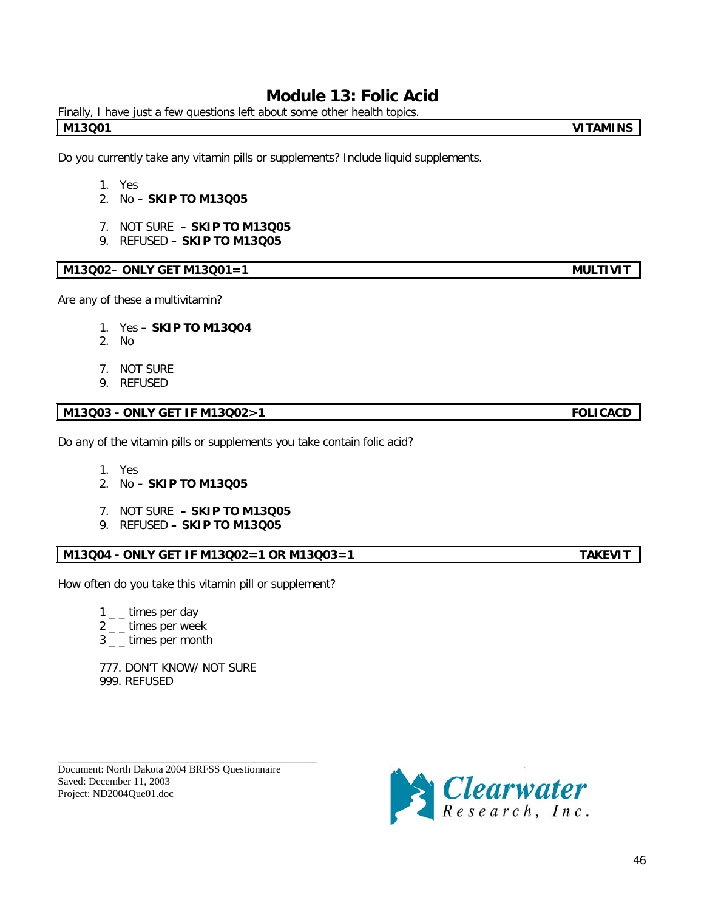# **Module 13: Folic Acid**

Finally, I have just a few questions left about some other health topics. **M13Q01 VITAMINS**

Do you currently take any vitamin pills or supplements? Include liquid supplements.

- 1. Yes
- 2. No **– SKIP TO M13Q05**
- 7. NOT SURE **– SKIP TO M13Q05**
- 9. REFUSED **– SKIP TO M13Q05**

### **M13Q02– ONLY GET M13Q01=1 MULTIVIT**

Are any of these a multivitamin?

- 1. Yes **– SKIP TO M13Q04**
- 2. No
- 7. NOT SURE
- 9. REFUSED

# **M13Q03 - ONLY GET IF M13Q02>1 FOLICACD**

Do any of the vitamin pills or supplements you take contain folic acid?

- 1. Yes
- 2. No **– SKIP TO M13Q05**
- 7. NOT SURE **– SKIP TO M13Q05**
- 9. REFUSED **– SKIP TO M13Q05**

#### **M13Q04 - ONLY GET IF M13Q02=1 OR M13Q03=1 TAKEVIT**

How often do you take this vitamin pill or supplement?

- $1 -$ times per day
- $2 -$ times per week
- 3 \_ \_ times per month

777. DON'T KNOW/ NOT SURE 999. REFUSED

\_\_\_\_\_\_\_\_\_\_\_\_\_\_\_\_\_\_\_\_\_\_\_\_\_\_\_\_\_\_\_\_\_\_\_\_\_\_\_\_\_\_\_\_\_\_\_\_\_\_ Document: North Dakota 2004 BRFSS Questionnaire Saved: December 11, 2003 Project: ND2004Que01.doc



46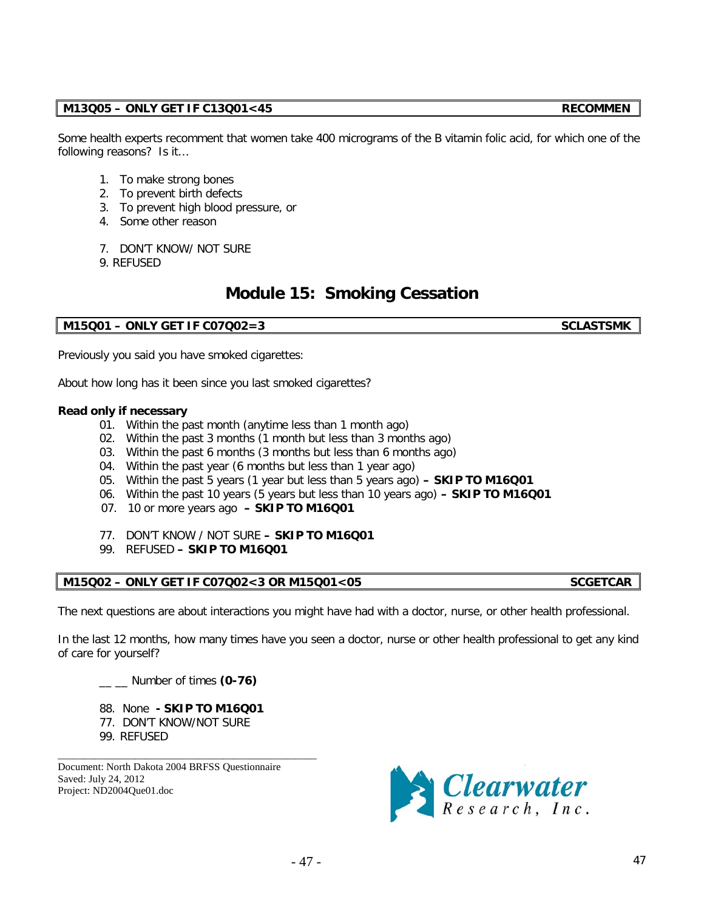# **M13Q05 – ONLY GET IF C13Q01<45 RECOMMEN**

Some health experts recomment that women take 400 micrograms of the B vitamin folic acid, for which one of the following reasons? Is it…

- 1. To make strong bones
- 2. To prevent birth defects
- 3. To prevent high blood pressure, or
- 4. Some other reason
- 7. DON'T KNOW/ NOT SURE
- 9. REFUSED

# **Module 15: Smoking Cessation**

# **M15Q01 – ONLY GET IF C07Q02=3 SCLASTSMK**

Previously you said you have smoked cigarettes:

About how long has it been since you last smoked cigarettes?

### **Read only if necessary**

- 01. Within the past month (anytime less than 1 month ago)
- 02. Within the past 3 months (1 month but less than 3 months ago)
- 03. Within the past 6 months (3 months but less than 6 months ago)
- 04. Within the past year (6 months but less than 1 year ago)
- 05. Within the past 5 years (1 year but less than 5 years ago) **– SKIP TO M16Q01**
- 06. Within the past 10 years (5 years but less than 10 years ago) **– SKIP TO M16Q01**
- 07. 10 or more years ago **– SKIP TO M16Q01**
- 77. DON'T KNOW / NOT SURE **– SKIP TO M16Q01**
- 99. REFUSED **– SKIP TO M16Q01**

## **M15Q02 – ONLY GET IF C07Q02<3 OR M15Q01<05 SCGETCAR**

The next questions are about interactions you might have had with a doctor, nurse, or other health professional.

In the last 12 months, how many times have you seen a doctor, nurse or other health professional to get any kind of care for yourself?

- \_\_ \_\_ Number of times **(0-76)**
- 88. None **- SKIP TO M16Q01**

\_\_\_\_\_\_\_\_\_\_\_\_\_\_\_\_\_\_\_\_\_\_\_\_\_\_\_\_\_\_\_\_\_\_\_\_\_\_\_\_\_\_\_\_\_\_\_\_\_\_

- 77. DON'T KNOW/NOT SURE
- 99. REFUSED

Document: North Dakota 2004 BRFSS Questionnaire Saved: July 24, 2012 Project: ND2004Que01.doc

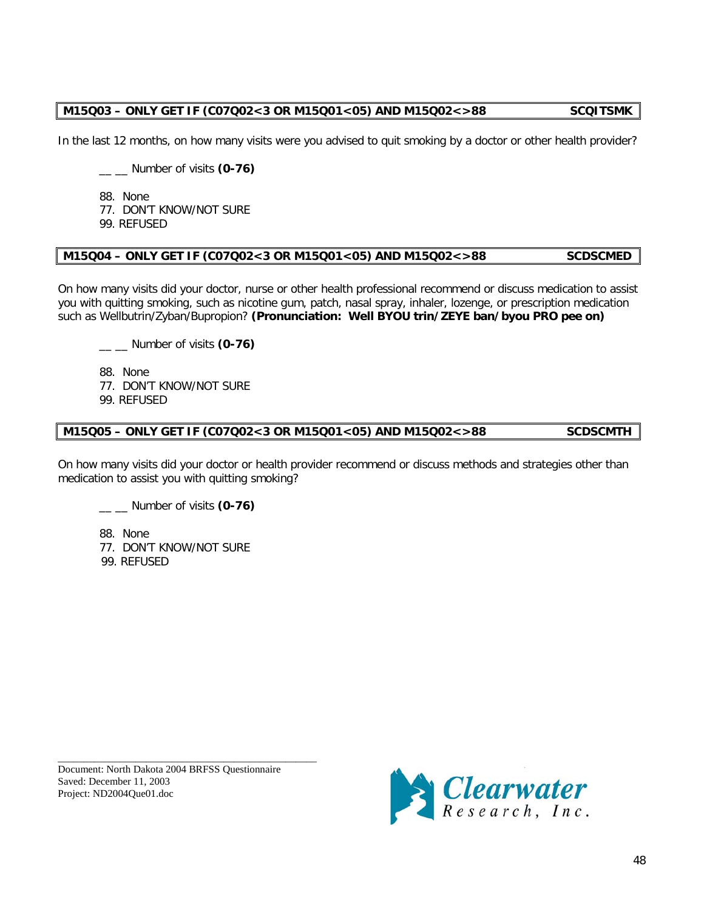# **M15Q03 – ONLY GET IF (C07Q02<3 OR M15Q01<05) AND M15Q02<>88 SCQITSMK**

In the last 12 months, on how many visits were you advised to quit smoking by a doctor or other health provider?

\_\_ \_\_ Number of visits **(0-76)**

88. None

77. DON'T KNOW/NOT SURE

99. REFUSED

# **M15Q04 – ONLY GET IF (C07Q02<3 OR M15Q01<05) AND M15Q02<>88 SCDSCMED**

On how many visits did your doctor, nurse or other health professional recommend or discuss medication to assist you with quitting smoking, such as nicotine gum, patch, nasal spray, inhaler, lozenge, or prescription medication such as Wellbutrin/Zyban/Bupropion? **(Pronunciation: Well BYOU trin/ZEYE ban/byou PRO pee on)**

\_\_ \_\_ Number of visits **(0-76)**

88. None

77. DON'T KNOW/NOT SURE

99. REFUSED

### **M15Q05 – ONLY GET IF (C07Q02<3 OR M15Q01<05) AND M15Q02<>88 SCDSCMTH**

On how many visits did your doctor or health provider recommend or discuss methods and strategies other than medication to assist you with quitting smoking?

\_\_ \_\_ Number of visits **(0-76)**

88. None 77. DON'T KNOW/NOT SURE 99. REFUSED

\_\_\_\_\_\_\_\_\_\_\_\_\_\_\_\_\_\_\_\_\_\_\_\_\_\_\_\_\_\_\_\_\_\_\_\_\_\_\_\_\_\_\_\_\_\_\_\_\_\_ Document: North Dakota 2004 BRFSS Questionnaire Saved: December 11, 2003 Project: ND2004Que01.doc

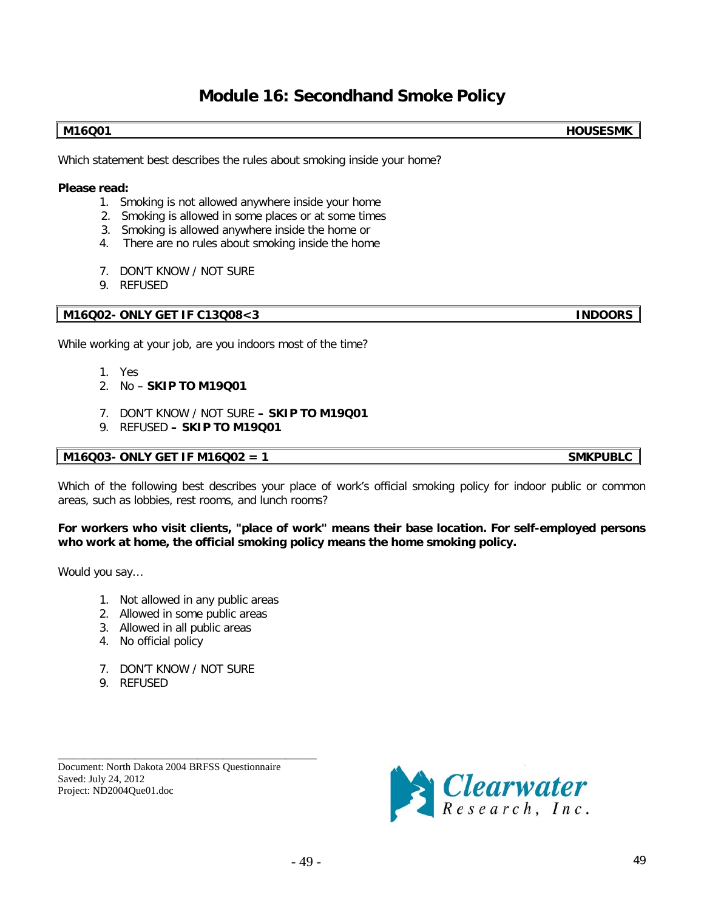# **Module 16: Secondhand Smoke Policy**

**M16Q01 HOUSESMK**

Which statement best describes the rules about smoking inside your home?

#### **Please read:**

- 1. Smoking is not allowed anywhere inside your home
- 2. Smoking is allowed in some places or at some times
- 3. Smoking is allowed anywhere inside the home or
- 4. There are no rules about smoking inside the home
- 7. DON'T KNOW / NOT SURE
- 9. REFUSED

## **M16Q02- ONLY GET IF C13Q08<3 INDOORS**

While working at your job, are you indoors most of the time?

- 1. Yes
- 2. No **SKIP TO M19Q01**
- 7. DON'T KNOW / NOT SURE **– SKIP TO M19Q01**
- 9. REFUSED **– SKIP TO M19Q01**

## **M16Q03- ONLY GET IF M16Q02 = 1 SMKPUBLC**

Which of the following best describes your place of work's official smoking policy for indoor public or common areas, such as lobbies, rest rooms, and lunch rooms?

**For workers who visit clients, "place of work" means their base location. For self-employed persons who work at home, the official smoking policy means the home smoking policy.**

Would you say…

- 1. Not allowed in any public areas
- 2. Allowed in some public areas
- 3. Allowed in all public areas
- 4. No official policy
- 7. DON'T KNOW / NOT SURE
- 9. REFUSED

Document: North Dakota 2004 BRFSS Questionnaire Saved: July 24, 2012 Project: ND2004Que01.doc

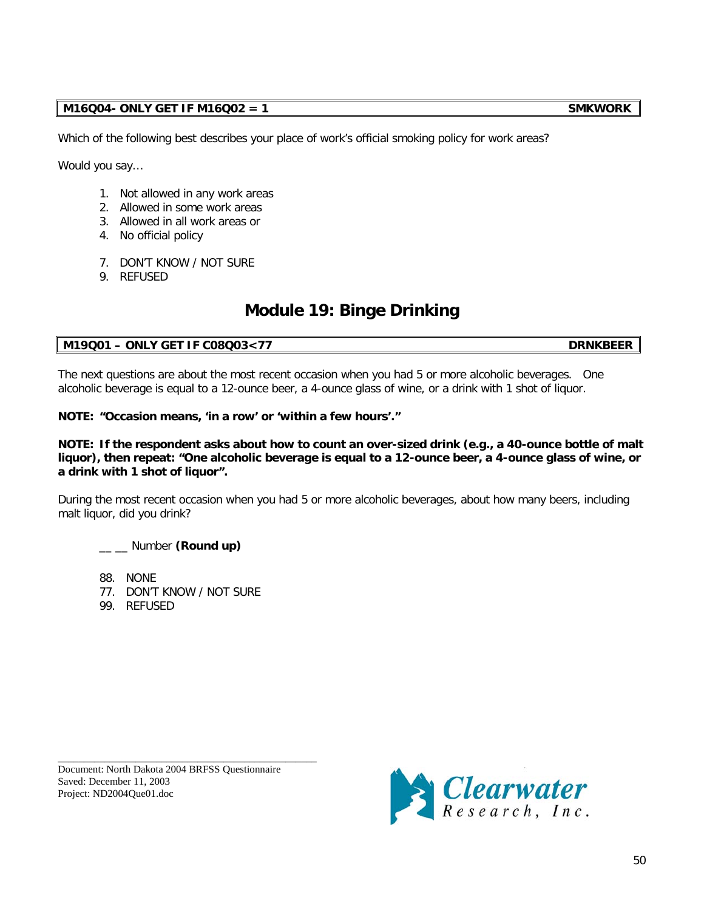# **M16Q04- ONLY GET IF M16Q02 = 1 SMKWORK**

Which of the following best describes your place of work's official smoking policy for work areas?

Would you say…

- 1. Not allowed in any work areas
- 2. Allowed in some work areas
- 3. Allowed in all work areas or
- 4. No official policy
- 7. DON'T KNOW / NOT SURE
- 9. REFUSED

# **Module 19: Binge Drinking**

# **M19Q01 – ONLY GET IF C08Q03<77 DRNKBEER**

The next questions are about the most recent occasion when you had 5 or more alcoholic beverages. One alcoholic beverage is equal to a 12-ounce beer, a 4-ounce glass of wine, or a drink with 1 shot of liquor.

**NOTE: "Occasion means, 'in a row' or 'within a few hours'."**

### **NOTE: If the respondent asks about how to count an over-sized drink (e.g., a 40-ounce bottle of malt liquor), then repeat: "One alcoholic beverage is equal to a 12-ounce beer, a 4-ounce glass of wine, or a drink with 1 shot of liquor".**

During the most recent occasion when you had 5 or more alcoholic beverages, about how many beers, including malt liquor, did you drink?

\_\_ \_\_ Number **(Round up)**

88. NONE

- 77. DON'T KNOW / NOT SURE
- 99. REFUSED

\_\_\_\_\_\_\_\_\_\_\_\_\_\_\_\_\_\_\_\_\_\_\_\_\_\_\_\_\_\_\_\_\_\_\_\_\_\_\_\_\_\_\_\_\_\_\_\_\_\_ Document: North Dakota 2004 BRFSS Questionnaire Saved: December 11, 2003 Project: ND2004Que01.doc

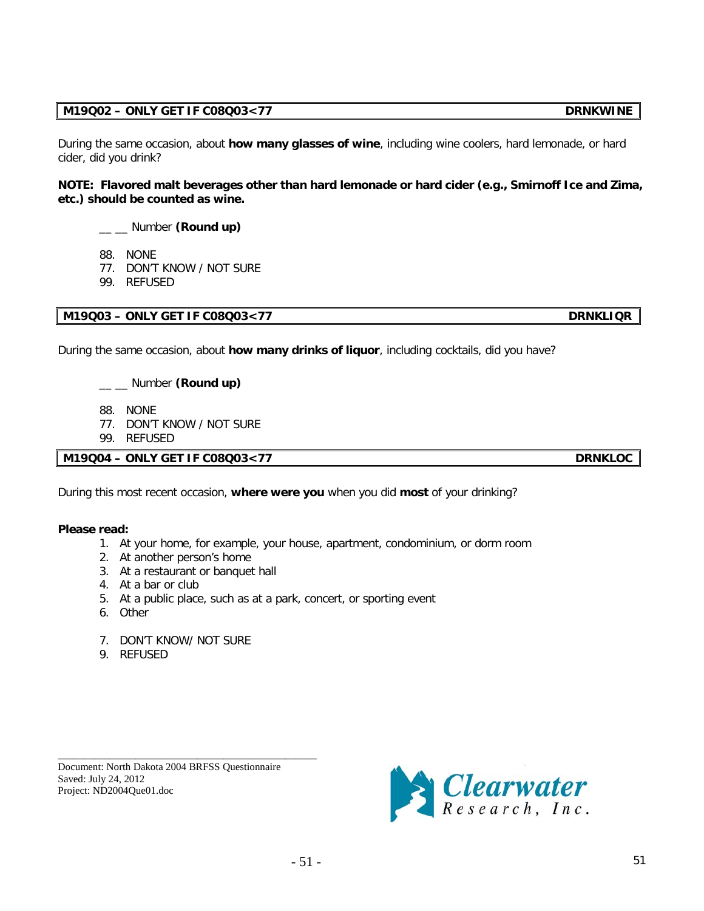$-51$  - 51 - 51

# **M19Q02 – ONLY GET IF C08Q03<77 DRNKWINE**

During the same occasion, about **how many glasses of wine**, including wine coolers, hard lemonade, or hard cider, did you drink?

**NOTE: Flavored malt beverages other than hard lemonade or hard cider (e.g., Smirnoff Ice and Zima, etc.) should be counted as wine.**

\_\_ \_\_ Number **(Round up)**

- 88. NONE
- 77. DON'T KNOW / NOT SURE
- 99. REFUSED

**M19Q03 – ONLY GET IF C08Q03<77 DRNKLIQR**

During the same occasion, about **how many drinks of liquor**, including cocktails, did you have?

\_\_ \_\_ Number **(Round up)**

- 88. NONE
- 77. DON'T KNOW / NOT SURE
- 99. REFUSED

**M19Q04 – ONLY GET IF C08Q03<77 DRNKLOC**

During this most recent occasion, **where were you** when you did **most** of your drinking?

## **Please read:**

- 1. At your home, for example, your house, apartment, condominium, or dorm room
- 2. At another person's home
- 3. At a restaurant or banquet hall
- 4. At a bar or club
- 5. At a public place, such as at a park, concert, or sporting event
- 6. Other
- 7. DON'T KNOW/ NOT SURE
- 9. REFUSED

Document: North Dakota 2004 BRFSS Questionnaire Saved: July 24, 2012 Project: ND2004Que01.doc

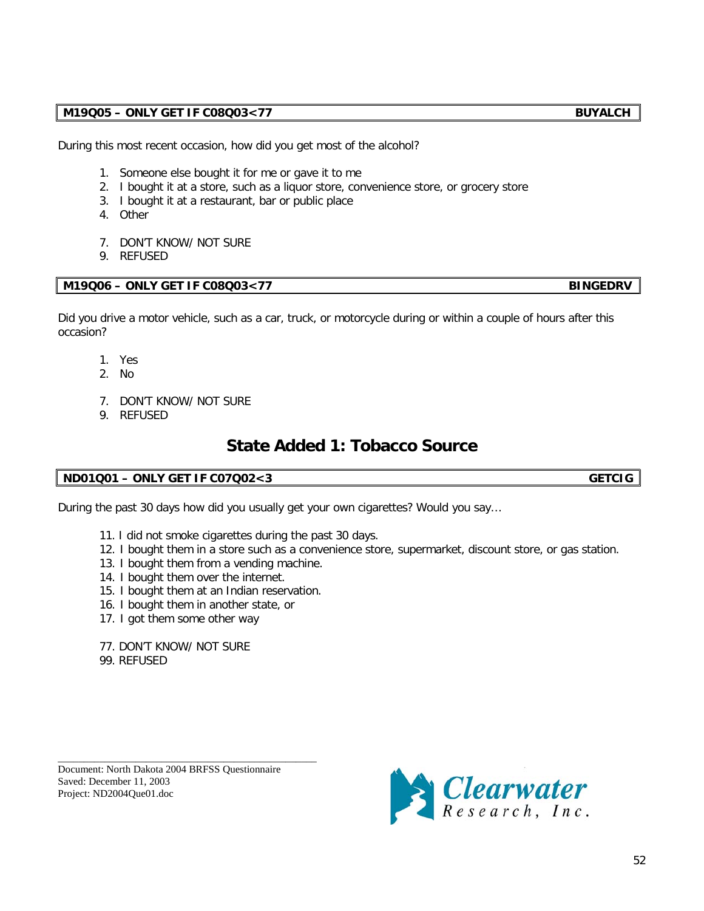# **M19Q05 – ONLY GET IF C08Q03<77 BUYALCH**

During this most recent occasion, how did you get most of the alcohol?

- 1. Someone else bought it for me or gave it to me
- 2. I bought it at a store, such as a liquor store, convenience store, or grocery store
- 3. I bought it at a restaurant, bar or public place
- 4. Other
- 7. DON'T KNOW/ NOT SURE
- 9. REFUSED

# **M19Q06 – ONLY GET IF C08Q03<77 BINGEDRV**

Did you drive a motor vehicle, such as a car, truck, or motorcycle during or within a couple of hours after this occasion?

- 1. Yes
- 2. No
- 7. DON'T KNOW/ NOT SURE
- 9. REFUSED

# **State Added 1: Tobacco Source**

# **ND01Q01 – ONLY GET IF C07Q02<3 GETCIG**

During the past 30 days how did you usually get your own cigarettes? Would you say…

- 11. I did not smoke cigarettes during the past 30 days.
- 12. I bought them in a store such as a convenience store, supermarket, discount store, or gas station.
- 13. I bought them from a vending machine.
- 14. I bought them over the internet.
- 15. I bought them at an Indian reservation.
- 16. I bought them in another state, or
- 17. I got them some other way
- 77. DON'T KNOW/ NOT SURE
- 99. REFUSED

Document: North Dakota 2004 BRFSS Questionnaire Saved: December 11, 2003 Project: ND2004Que01.doc

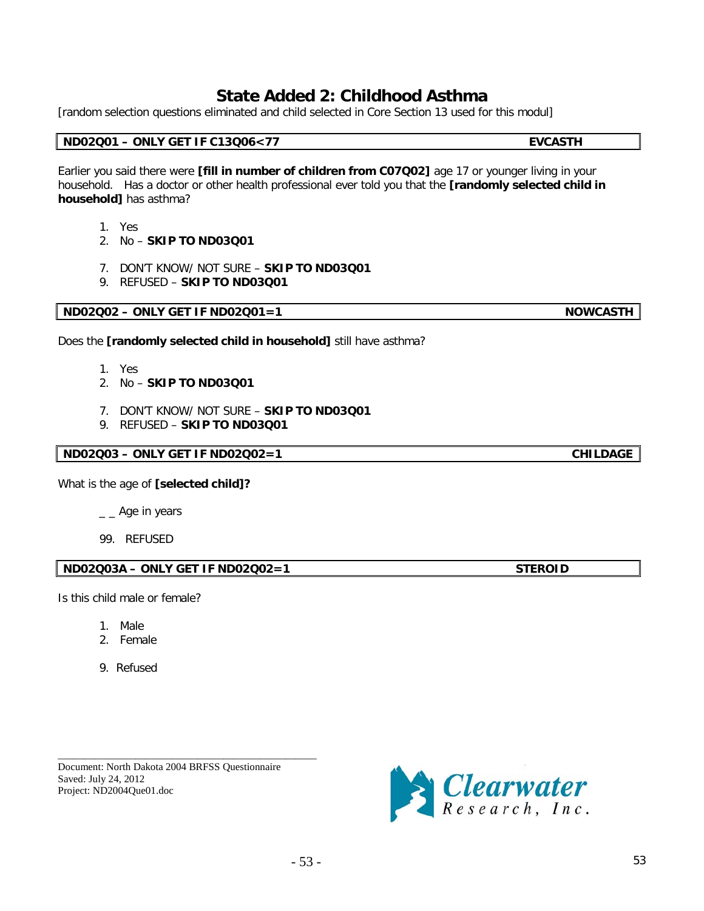# **State Added 2: Childhood Asthma**

[random selection questions eliminated and child selected in Core Section 13 used for this modul]

# **ND02Q01 – ONLY GET IF C13Q06<77 EVCASTH**

Earlier you said there were **[fill in number of children from C07Q02]** age 17 or younger living in your household. Has a doctor or other health professional ever told you that the **[randomly selected child in household]** has asthma?

- 1. Yes
- 2. No **SKIP TO ND03Q01**
- 7. DON'T KNOW/ NOT SURE **SKIP TO ND03Q01**
- 9. REFUSED **SKIP TO ND03Q01**

Does the **[randomly selected child in household]** still have asthma?

- 1. Yes
- 2. No **SKIP TO ND03Q01**
- 7. DON'T KNOW/ NOT SURE **SKIP TO ND03Q01**
- 9. REFUSED **SKIP TO ND03Q01**

# **ND02Q03 – ONLY GET IF ND02Q02=1 CHILDAGE**

What is the age of **[selected child]?**

- $_{--}$  Age in years
- 99. REFUSED

**ND02Q03A – ONLY GET IF ND02Q02=1 STEROID** 

Is this child male or female?

- 1. Male
- 2. Female
- 9. Refused

\_\_\_\_\_\_\_\_\_\_\_\_\_\_\_\_\_\_\_\_\_\_\_\_\_\_\_\_\_\_\_\_\_\_\_\_\_\_\_\_\_\_\_\_\_\_\_\_\_\_ Document: North Dakota 2004 BRFSS Questionnaire Saved: July 24, 2012 Project: ND2004Que01.doc



**ND02Q02 – ONLY GET IF ND02Q01=1 NOWCASTH**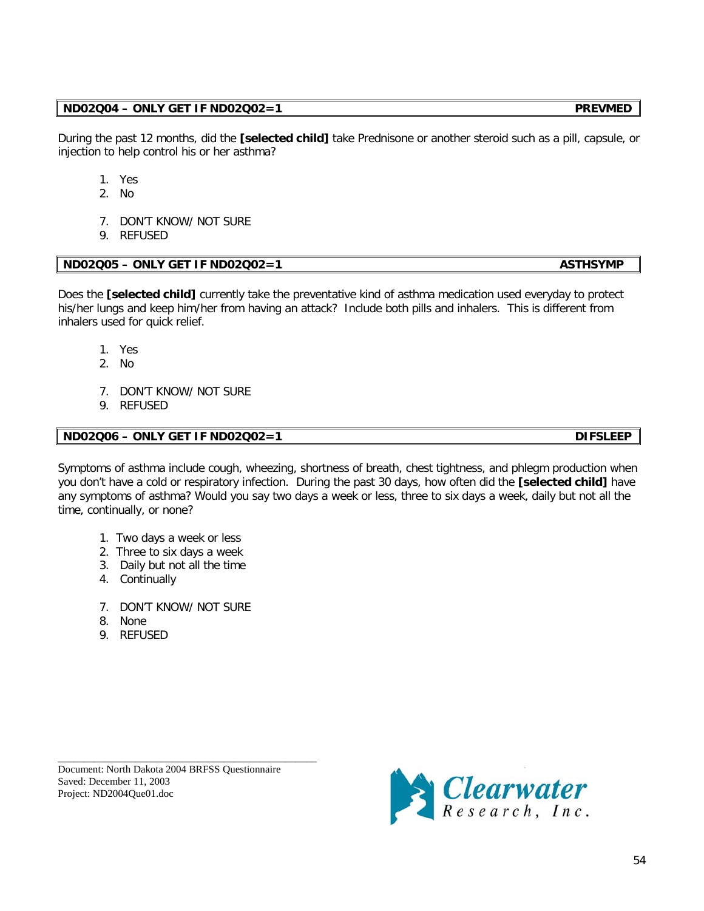## **ND02Q04 – ONLY GET IF ND02Q02=1 PREVMED**

During the past 12 months, did the **[selected child]** take Prednisone or another steroid such as a pill, capsule, or injection to help control his or her asthma?

- 1. Yes
- 2. No
- 7. DON'T KNOW/ NOT SURE
- 9. REFUSED

# **ND02Q05 – ONLY GET IF ND02Q02=1** ASTHSYMP

Does the **[selected child]** currently take the preventative kind of asthma medication used everyday to protect his/her lungs and keep him/her from having an attack? Include both pills and inhalers. This is different from inhalers used for quick relief.

- 1. Yes
- 2. No
- 7. DON'T KNOW/ NOT SURE
- 9. REFUSED

# **ND02Q06 – ONLY GET IF ND02Q02=1 DIFSLEEP**

Symptoms of asthma include cough, wheezing, shortness of breath, chest tightness, and phlegm production when you don't have a cold or respiratory infection. During the past 30 days, how often did the **[selected child]** have any symptoms of asthma? Would you say two days a week or less, three to six days a week, daily but not all the time, continually, or none?

- 1. Two days a week or less
- 2. Three to six days a week
- 3. Daily but not all the time
- 4. Continually
- 7. DON'T KNOW/ NOT SURE
- 8. None
- 9. REFUSED

Document: North Dakota 2004 BRFSS Questionnaire Saved: December 11, 2003 Project: ND2004Que01.doc

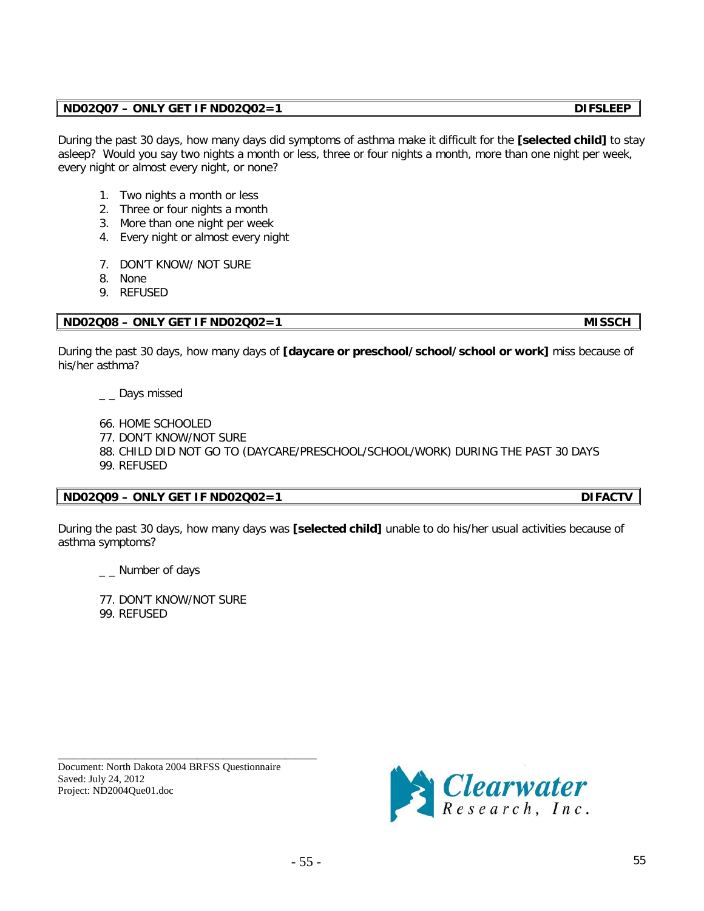During the past 30 days, how many days did symptoms of asthma make it difficult for the **[selected child]** to stay asleep? Would you say two nights a month or less, three or four nights a month, more than one night per week, every night or almost every night, or none?

- 1. Two nights a month or less
- 2. Three or four nights a month
- 3. More than one night per week
- 4. Every night or almost every night
- 7. DON'T KNOW/ NOT SURE
- 8. None
- 9. REFUSED

### **ND02Q08 – ONLY GET IF ND02Q02=1 MISSCH**

During the past 30 days, how many days of **[daycare or preschool/school/school or work]** miss because of his/her asthma?

\_\_ Days missed

- 66. HOME SCHOOLED
- 77. DON'T KNOW/NOT SURE
- 88. CHILD DID NOT GO TO (DAYCARE/PRESCHOOL/SCHOOL/WORK) DURING THE PAST 30 DAYS 99. REFUSED

#### **ND02Q09 – ONLY GET IF ND02Q02=1 DIFACTV**

During the past 30 days, how many days was **[selected child]** unable to do his/her usual activities because of asthma symptoms?

\_\_ Number of days

77. DON'T KNOW/NOT SURE 99. REFUSED

Document: North Dakota 2004 BRFSS Questionnaire Saved: July 24, 2012 Project: ND2004Que01.doc

\_\_\_\_\_\_\_\_\_\_\_\_\_\_\_\_\_\_\_\_\_\_\_\_\_\_\_\_\_\_\_\_\_\_\_\_\_\_\_\_\_\_\_\_\_\_\_\_\_\_



**ND02Q07 – ONLY GET IF ND02Q02=1 DIFSLEEP**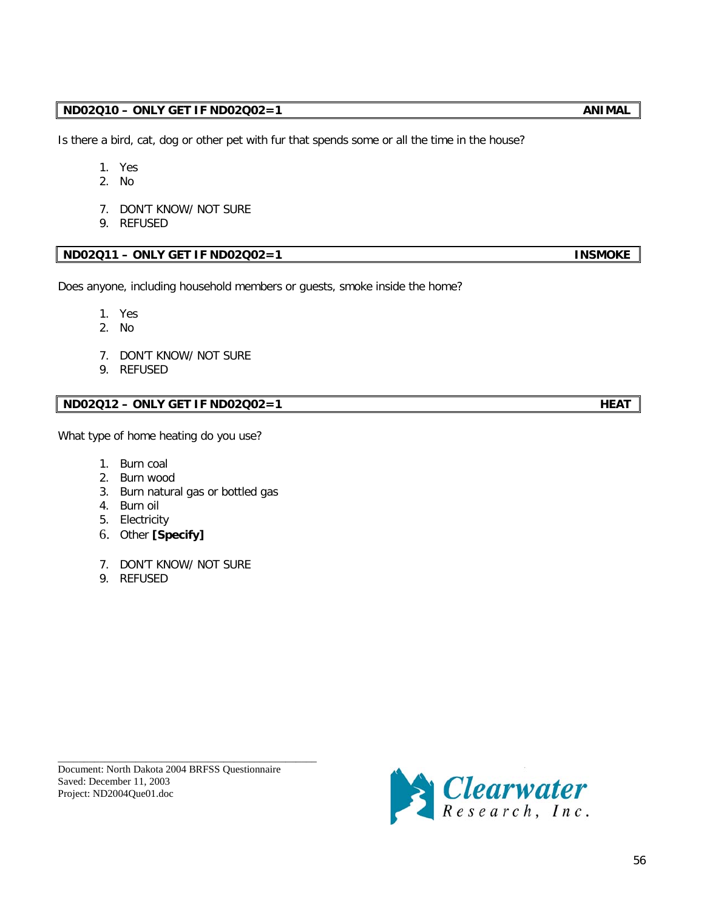# **ND02Q10 – ONLY GET IF ND02Q02=1** ANIMAL

Is there a bird, cat, dog or other pet with fur that spends some or all the time in the house?

- 1. Yes
- 2. No
- 7. DON'T KNOW/ NOT SURE
- 9. REFUSED

# **ND02Q11 – ONLY GET IF ND02Q02=1 INSMOKE**

Does anyone, including household members or guests, smoke inside the home?

- 1. Yes
- 2. No
- 7. DON'T KNOW/ NOT SURE
- 9. REFUSED

# **ND02Q12 – ONLY GET IF ND02Q02=1** HEAT

What type of home heating do you use?

- 1. Burn coal
- 2. Burn wood
- 3. Burn natural gas or bottled gas
- 4. Burn oil
- 5. Electricity
- 6. Other **[Specify]**
- 7. DON'T KNOW/ NOT SURE
- 9. REFUSED

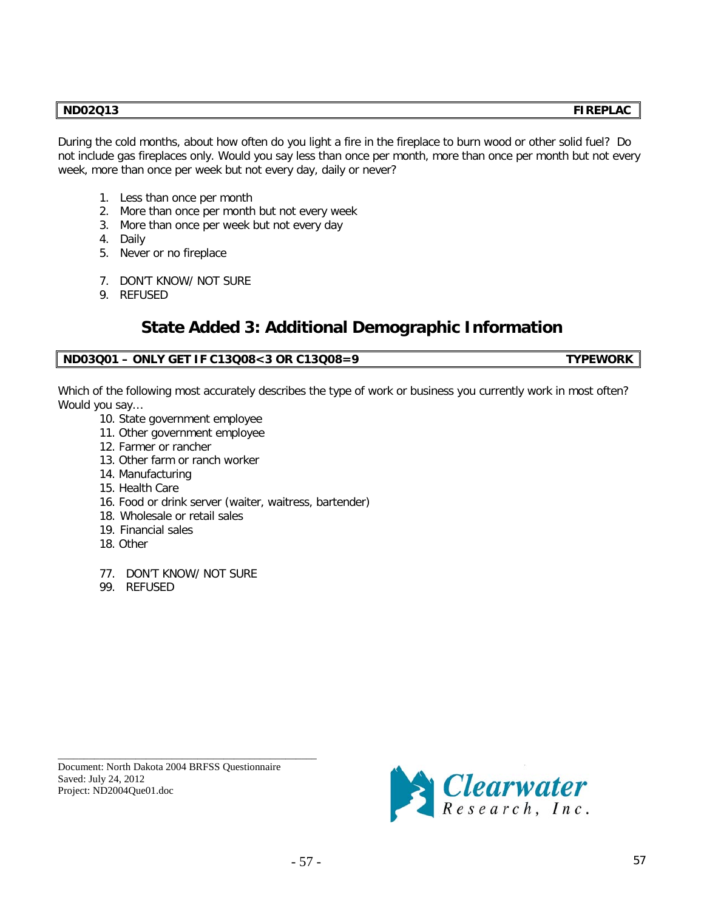# **ND02Q13 FIREPLAC**

During the cold months, about how often do you light a fire in the fireplace to burn wood or other solid fuel? Do not include gas fireplaces only. Would you say less than once per month, more than once per month but not every week, more than once per week but not every day, daily or never?

- 1. Less than once per month
- 2. More than once per month but not every week
- 3. More than once per week but not every day
- 4. Daily
- 5. Never or no fireplace
- 7. DON'T KNOW/ NOT SURE
- 9. REFUSED

# **State Added 3: Additional Demographic Information**

### **ND03Q01 – ONLY GET IF C13Q08<3 OR C13Q08=9 TYPEWORK**

Which of the following most accurately describes the type of work or business you currently work in most often? Would you say…

- 10. State government employee
- 11. Other government employee
- 12. Farmer or rancher
- 13. Other farm or ranch worker
- 14. Manufacturing
- 15. Health Care
- 16. Food or drink server (waiter, waitress, bartender)
- 18. Wholesale or retail sales
- 19. Financial sales
- 18. Other
- 77. DON'T KNOW/ NOT SURE
- 99. REFUSED

Document: North Dakota 2004 BRFSS Questionnaire Saved: July 24, 2012 Project: ND2004Que01.doc

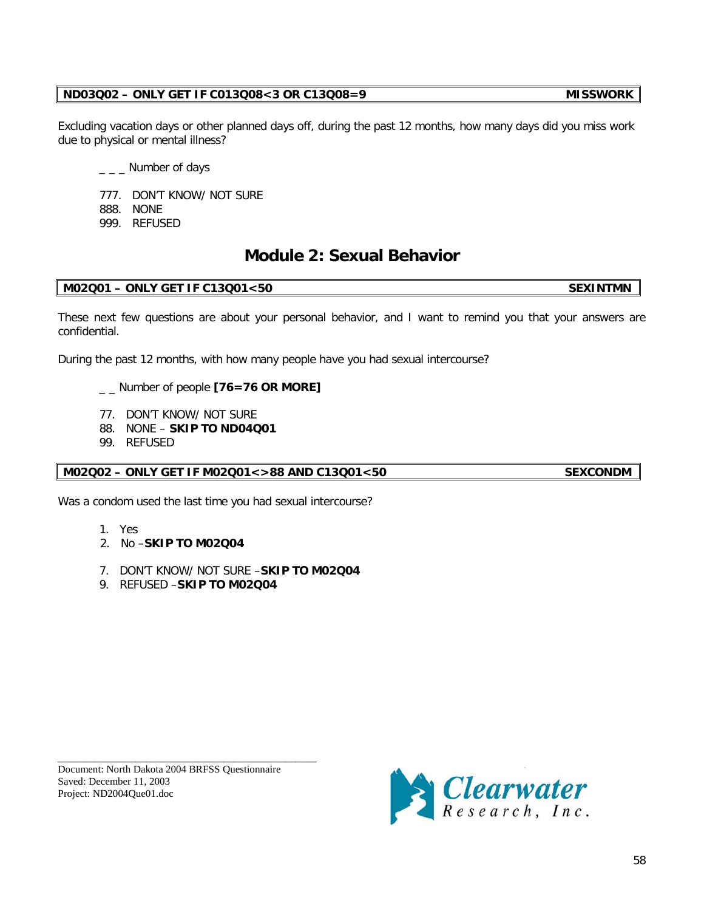# **ND03Q02 – ONLY GET IF C013Q08<3 OR C13Q08=9 MISSWORK**

Excluding vacation days or other planned days off, during the past 12 months, how many days did you miss work due to physical or mental illness?

 $\sqrt{a}$  \_  $\sqrt{a}$  Number of days

777. DON'T KNOW/ NOT SURE

888. NONE

999. REFUSED

# **Module 2: Sexual Behavior**

# **M02Q01 – ONLY GET IF C13Q01<50 SEXINTMN**

These next few questions are about your personal behavior, and I want to remind you that your answers are confidential.

During the past 12 months, with how many people have you had sexual intercourse?

Number of people **[76=76 OR MORE]** 

- 77. DON'T KNOW/ NOT SURE
- 88. NONE **SKIP TO ND04Q01**
- 99. REFUSED

**M02Q02 – ONLY GET IF M02Q01<>88 AND C13Q01<50 SEXCONDM**

Was a condom used the last time you had sexual intercourse?

- 1. Yes
- 2. No –**SKIP TO M02Q04**
- 7. DON'T KNOW/ NOT SURE –**SKIP TO M02Q04**
- 9. REFUSED –**SKIP TO M02Q04**

Document: North Dakota 2004 BRFSS Questionnaire Saved: December 11, 2003 Project: ND2004Que01.doc

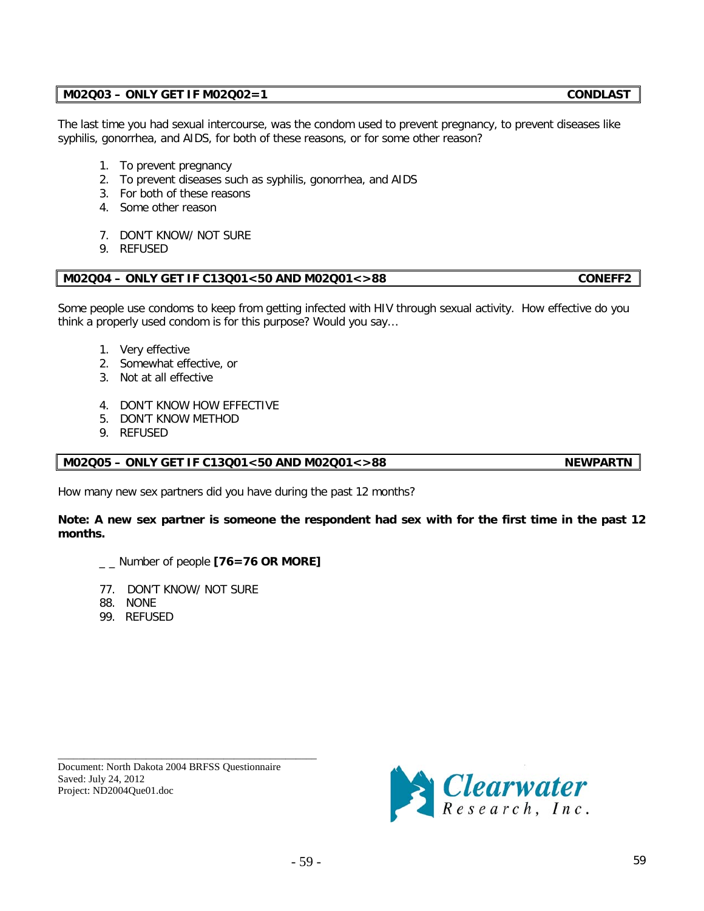# - 59 - 59

How many new sex partners did you have during the past 12 months?

# **Note: A new sex partner is someone the respondent had sex with for the first time in the past 12 months.**

\_ \_ Number of people **[76=76 OR MORE]**

77. DON'T KNOW/ NOT SURE

\_\_\_\_\_\_\_\_\_\_\_\_\_\_\_\_\_\_\_\_\_\_\_\_\_\_\_\_\_\_\_\_\_\_\_\_\_\_\_\_\_\_\_\_\_\_\_\_\_\_ Document: North Dakota 2004 BRFSS Questionnaire

88. NONE

Saved: July 24, 2012 Project: ND2004Que01.doc

99. REFUSED

syphilis, gonorrhea, and AIDS, for both of these reasons, or for some other reason? 1. To prevent pregnancy

- 2. To prevent diseases such as syphilis, gonorrhea, and AIDS
- 3. For both of these reasons
- 4. Some other reason
- 7. DON'T KNOW/ NOT SURE
- 9. REFUSED

# **M02Q04 – ONLY GET IF C13Q01<50 AND M02Q01<>88 CONEFF2**

Some people use condoms to keep from getting infected with HIV through sexual activity. How effective do you think a properly used condom is for this purpose? Would you say…

The last time you had sexual intercourse, was the condom used to prevent pregnancy, to prevent diseases like

- 1. Very effective
- 2. Somewhat effective, or
- 3. Not at all effective
- 4. DON'T KNOW HOW EFFECTIVE
- 5. DON'T KNOW METHOD
- 9. REFUSED